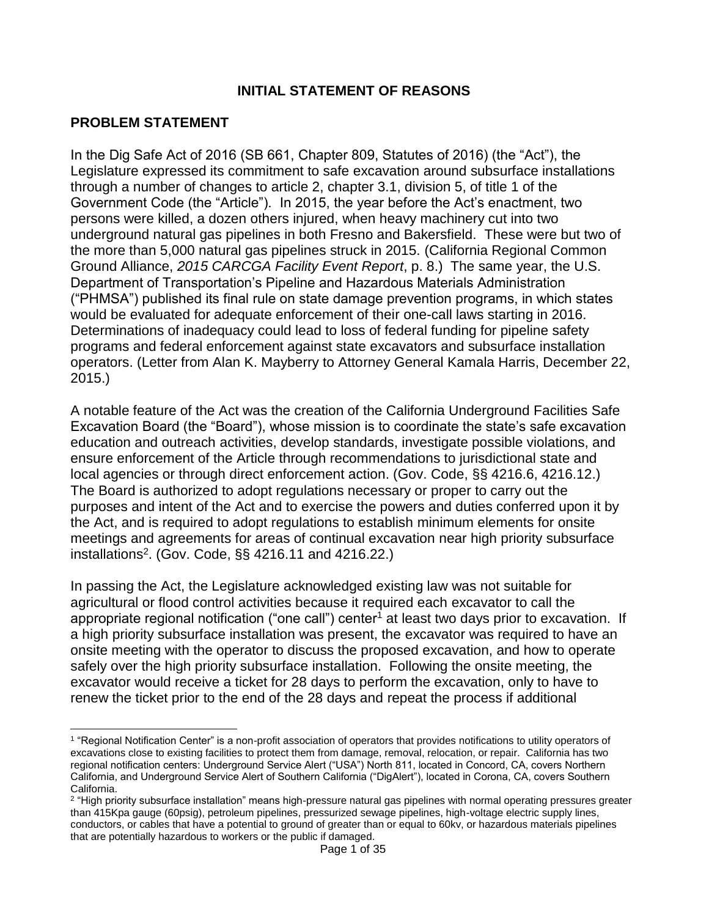#### **INITIAL STATEMENT OF REASONS**

#### **PROBLEM STATEMENT**

In the Dig Safe Act of 2016 (SB 661, Chapter 809, Statutes of 2016) (the "Act"), the Legislature expressed its commitment to safe excavation around subsurface installations through a number of changes to article 2, chapter 3.1, division 5, of title 1 of the Government Code (the "Article"). In 2015, the year before the Act's enactment, two persons were killed, a dozen others injured, when heavy machinery cut into two underground natural gas pipelines in both Fresno and Bakersfield. These were but two of the more than 5,000 natural gas pipelines struck in 2015. (California Regional Common Ground Alliance, *2015 CARCGA Facility Event Report*, p. 8.) The same year, the U.S. Department of Transportation's Pipeline and Hazardous Materials Administration ("PHMSA") published its final rule on state damage prevention programs, in which states would be evaluated for adequate enforcement of their one-call laws starting in 2016. Determinations of inadequacy could lead to loss of federal funding for pipeline safety programs and federal enforcement against state excavators and subsurface installation operators. (Letter from Alan K. Mayberry to Attorney General Kamala Harris, December 22, 2015.)

A notable feature of the Act was the creation of the California Underground Facilities Safe Excavation Board (the "Board"), whose mission is to coordinate the state's safe excavation education and outreach activities, develop standards, investigate possible violations, and ensure enforcement of the Article through recommendations to jurisdictional state and local agencies or through direct enforcement action. (Gov. Code, §§ 4216.6, 4216.12.) The Board is authorized to adopt regulations necessary or proper to carry out the purposes and intent of the Act and to exercise the powers and duties conferred upon it by the Act, and is required to adopt regulations to establish minimum elements for onsite meetings and agreements for areas of continual excavation near high priority subsurface installations 2 . (Gov. Code, §§ 4216.11 and 4216.22.)

In passing the Act, the Legislature acknowledged existing law was not suitable for agricultural or flood control activities because it required each excavator to call the appropriate regional notification ("one call") center<sup>1</sup> at least two days prior to excavation. If a high priority subsurface installation was present, the excavator was required to have an onsite meeting with the operator to discuss the proposed excavation, and how to operate safely over the high priority subsurface installation. Following the onsite meeting, the excavator would receive a ticket for 28 days to perform the excavation, only to have to renew the ticket prior to the end of the 28 days and repeat the process if additional

 $\overline{a}$ <sup>1</sup> "Regional Notification Center" is a non-profit association of operators that provides notifications to utility operators of excavations close to existing facilities to protect them from damage, removal, relocation, or repair. California has two regional notification centers: Underground Service Alert ("USA") North 811, located in Concord, CA, covers Northern California, and Underground Service Alert of Southern California ("DigAlert"), located in Corona, CA, covers Southern California.

<sup>&</sup>lt;sup>2</sup> "High priority subsurface installation" means high-pressure natural gas pipelines with normal operating pressures greater than 415Kpa gauge (60psig), petroleum pipelines, pressurized sewage pipelines, high-voltage electric supply lines, conductors, or cables that have a potential to ground of greater than or equal to 60kv, or hazardous materials pipelines that are potentially hazardous to workers or the public if damaged.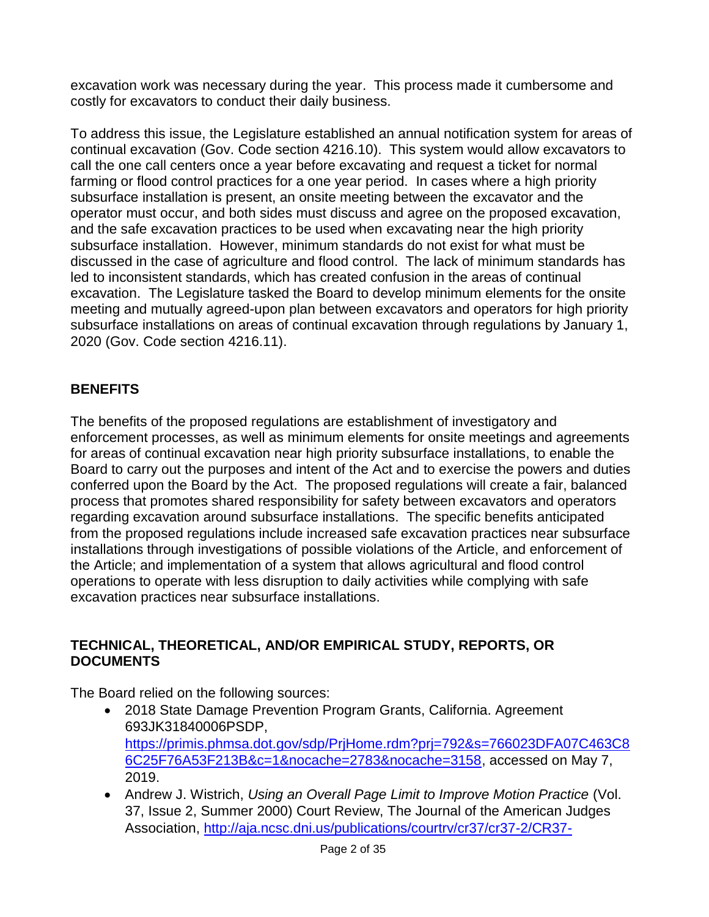excavation work was necessary during the year. This process made it cumbersome and costly for excavators to conduct their daily business.

To address this issue, the Legislature established an annual notification system for areas of continual excavation (Gov. Code section 4216.10). This system would allow excavators to call the one call centers once a year before excavating and request a ticket for normal farming or flood control practices for a one year period. In cases where a high priority subsurface installation is present, an onsite meeting between the excavator and the operator must occur, and both sides must discuss and agree on the proposed excavation, and the safe excavation practices to be used when excavating near the high priority subsurface installation. However, minimum standards do not exist for what must be discussed in the case of agriculture and flood control. The lack of minimum standards has led to inconsistent standards, which has created confusion in the areas of continual excavation. The Legislature tasked the Board to develop minimum elements for the onsite meeting and mutually agreed-upon plan between excavators and operators for high priority subsurface installations on areas of continual excavation through regulations by January 1, 2020 (Gov. Code section 4216.11).

# **BENEFITS**

The benefits of the proposed regulations are establishment of investigatory and enforcement processes, as well as minimum elements for onsite meetings and agreements for areas of continual excavation near high priority subsurface installations, to enable the Board to carry out the purposes and intent of the Act and to exercise the powers and duties conferred upon the Board by the Act. The proposed regulations will create a fair, balanced process that promotes shared responsibility for safety between excavators and operators regarding excavation around subsurface installations. The specific benefits anticipated from the proposed regulations include increased safe excavation practices near subsurface installations through investigations of possible violations of the Article, and enforcement of the Article; and implementation of a system that allows agricultural and flood control operations to operate with less disruption to daily activities while complying with safe excavation practices near subsurface installations.

## **TECHNICAL, THEORETICAL, AND/OR EMPIRICAL STUDY, REPORTS, OR DOCUMENTS**

The Board relied on the following sources:

- 2018 State Damage Prevention Program Grants, California. Agreement 693JK31840006PSDP, [https://primis.phmsa.dot.gov/sdp/PrjHome.rdm?prj=792&s=766023DFA07C463C8](https://primis.phmsa.dot.gov/sdp/PrjHome.rdm?prj=792&s=766023DFA07C463C86C25F76A53F213B&c=1&nocache=2783&nocache=3158) [6C25F76A53F213B&c=1&nocache=2783&nocache=3158,](https://primis.phmsa.dot.gov/sdp/PrjHome.rdm?prj=792&s=766023DFA07C463C86C25F76A53F213B&c=1&nocache=2783&nocache=3158) accessed on May 7, 2019.
- Andrew J. Wistrich, *Using an Overall Page Limit to Improve Motion Practice* (Vol. 37, Issue 2, Summer 2000) Court Review, The Journal of the American Judges Association, [http://aja.ncsc.dni.us/publications/courtrv/cr37/cr37-2/CR37-](http://aja.ncsc.dni.us/publications/courtrv/cr37/cr37-2/CR37-2Wistrich.pdf)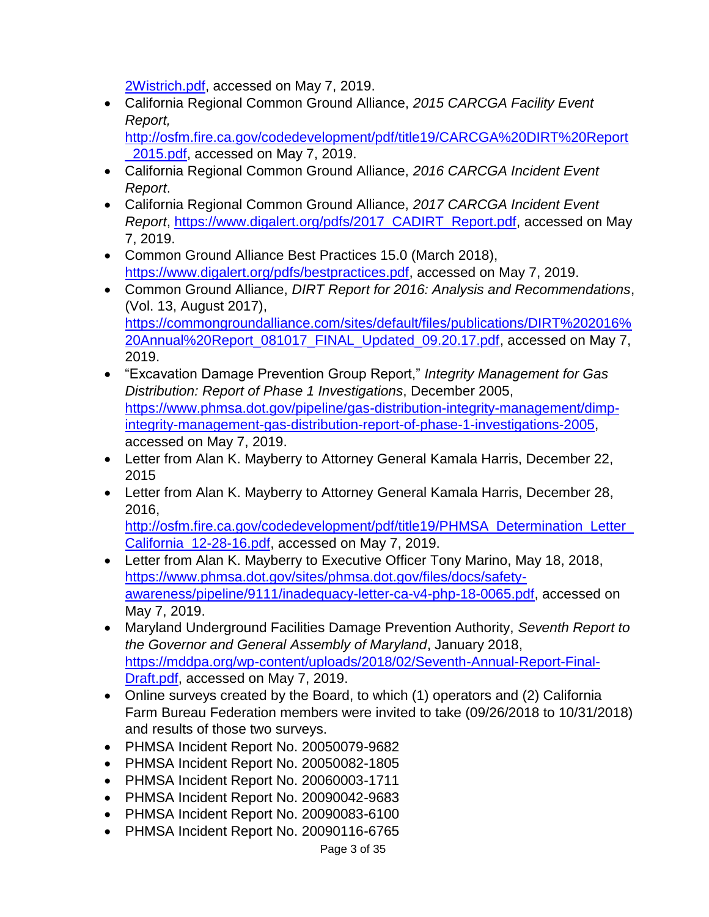[2Wistrich.pdf,](http://aja.ncsc.dni.us/publications/courtrv/cr37/cr37-2/CR37-2Wistrich.pdf) accessed on May 7, 2019.

 California Regional Common Ground Alliance, *2015 CARCGA Facility Event Report,* 

[http://osfm.fire.ca.gov/codedevelopment/pdf/title19/CARCGA%20DIRT%20Report](http://osfm.fire.ca.gov/codedevelopment/pdf/title19/CARCGA%20DIRT%20Report_2015.pdf) 2015.pdf, accessed on May 7, 2019.

- California Regional Common Ground Alliance, *2016 CARCGA Incident Event Report*.
- California Regional Common Ground Alliance, *2017 CARCGA Incident Event Report*, [https://www.digalert.org/pdfs/2017\\_CADIRT\\_Report.pdf,](https://www.digalert.org/pdfs/2017_CADIRT_Report.pdf) accessed on May 7, 2019.
- Common Ground Alliance Best Practices 15.0 (March 2018), [https://www.digalert.org/pdfs/bestpractices.pdf,](https://www.digalert.org/pdfs/bestpractices.pdf) accessed on May 7, 2019.
- Common Ground Alliance, *DIRT Report for 2016: Analysis and Recommendations*, (Vol. 13, August 2017), [https://commongroundalliance.com/sites/default/files/publications/DIRT%202016%](https://commongroundalliance.com/sites/default/files/publications/DIRT%202016%20Annual%20Report_081017_FINAL_Updated_09.20.17.pdf) [20Annual%20Report\\_081017\\_FINAL\\_Updated\\_09.20.17.pdf,](https://commongroundalliance.com/sites/default/files/publications/DIRT%202016%20Annual%20Report_081017_FINAL_Updated_09.20.17.pdf) accessed on May 7, 2019.
- "Excavation Damage Prevention Group Report," *Integrity Management for Gas Distribution: Report of Phase 1 Investigations*, December 2005, [https://www.phmsa.dot.gov/pipeline/gas-distribution-integrity-management/dimp](https://www.phmsa.dot.gov/pipeline/gas-distribution-integrity-management/dimp-integrity-management-gas-distribution-report-of-phase-1-investigations-2005)[integrity-management-gas-distribution-report-of-phase-1-investigations-2005,](https://www.phmsa.dot.gov/pipeline/gas-distribution-integrity-management/dimp-integrity-management-gas-distribution-report-of-phase-1-investigations-2005) accessed on May 7, 2019.
- Letter from Alan K. Mayberry to Attorney General Kamala Harris, December 22, 2015
- Letter from Alan K. Mayberry to Attorney General Kamala Harris, December 28, 2016,

[http://osfm.fire.ca.gov/codedevelopment/pdf/title19/PHMSA\\_Determination\\_Letter\\_](http://osfm.fire.ca.gov/codedevelopment/pdf/title19/PHMSA_Determination_Letter_California_12-28-16.pdf) [California\\_12-28-16.pdf,](http://osfm.fire.ca.gov/codedevelopment/pdf/title19/PHMSA_Determination_Letter_California_12-28-16.pdf) accessed on May 7, 2019.

- Letter from Alan K. Mayberry to Executive Officer Tony Marino, May 18, 2018, [https://www.phmsa.dot.gov/sites/phmsa.dot.gov/files/docs/safety](https://www.phmsa.dot.gov/sites/phmsa.dot.gov/files/docs/safety-awareness/pipeline/9111/inadequacy-letter-ca-v4-php-18-0065.pdf)[awareness/pipeline/9111/inadequacy-letter-ca-v4-php-18-0065.pdf,](https://www.phmsa.dot.gov/sites/phmsa.dot.gov/files/docs/safety-awareness/pipeline/9111/inadequacy-letter-ca-v4-php-18-0065.pdf) accessed on May 7, 2019.
- Maryland Underground Facilities Damage Prevention Authority, *Seventh Report to the Governor and General Assembly of Maryland*, January 2018, [https://mddpa.org/wp-content/uploads/2018/02/Seventh-Annual-Report-Final-](https://mddpa.org/wp-content/uploads/2018/02/Seventh-Annual-Report-Final-Draft.pdf)[Draft.pdf,](https://mddpa.org/wp-content/uploads/2018/02/Seventh-Annual-Report-Final-Draft.pdf) accessed on May 7, 2019.
- Online surveys created by the Board, to which (1) operators and (2) California Farm Bureau Federation members were invited to take (09/26/2018 to 10/31/2018) and results of those two surveys.
- PHMSA Incident Report No. 20050079-9682
- PHMSA Incident Report No. 20050082-1805
- PHMSA Incident Report No. 20060003-1711
- PHMSA Incident Report No. 20090042-9683
- PHMSA Incident Report No. 20090083-6100
- PHMSA Incident Report No. 20090116-6765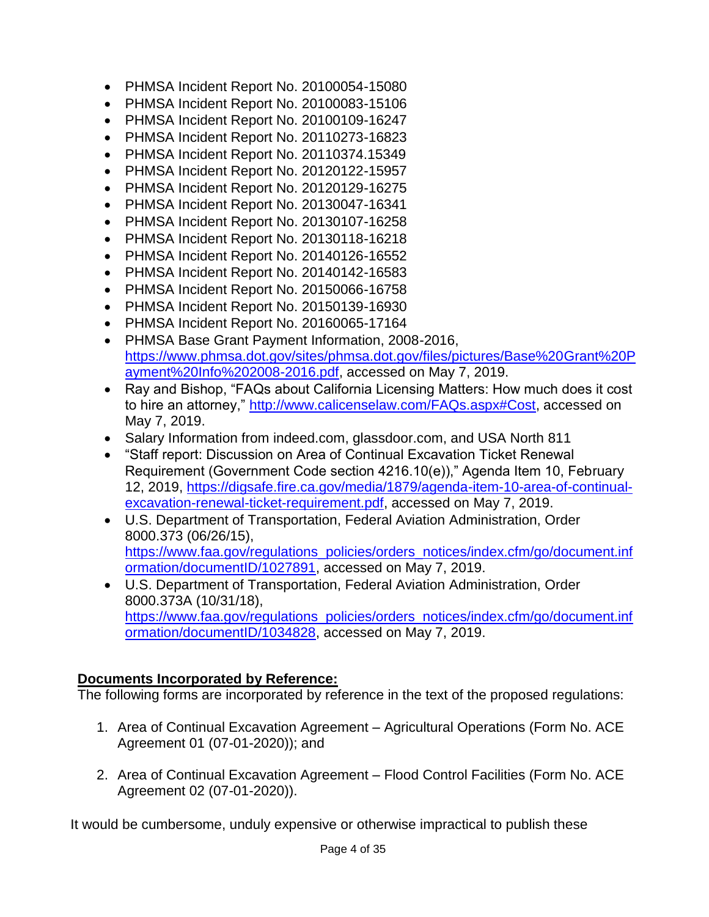- PHMSA Incident Report No. 20100054-15080
- PHMSA Incident Report No. 20100083-15106
- PHMSA Incident Report No. 20100109-16247
- PHMSA Incident Report No. 20110273-16823
- PHMSA Incident Report No. 20110374.15349
- PHMSA Incident Report No. 20120122-15957
- PHMSA Incident Report No. 20120129-16275
- PHMSA Incident Report No. 20130047-16341
- PHMSA Incident Report No. 20130107-16258
- PHMSA Incident Report No. 20130118-16218
- PHMSA Incident Report No. 20140126-16552
- PHMSA Incident Report No. 20140142-16583
- PHMSA Incident Report No. 20150066-16758
- PHMSA Incident Report No. 20150139-16930
- PHMSA Incident Report No. 20160065-17164
- PHMSA Base Grant Payment Information, 2008-2016, [https://www.phmsa.dot.gov/sites/phmsa.dot.gov/files/pictures/Base%20Grant%20P](https://www.phmsa.dot.gov/sites/phmsa.dot.gov/files/pictures/Base%20Grant%20Payment%20Info%202008-2016.pdf) [ayment%20Info%202008-2016.pdf,](https://www.phmsa.dot.gov/sites/phmsa.dot.gov/files/pictures/Base%20Grant%20Payment%20Info%202008-2016.pdf) accessed on May 7, 2019.
- Ray and Bishop, "FAQs about California Licensing Matters: How much does it cost to hire an attorney," [http://www.calicenselaw.com/FAQs.aspx#Cost,](http://www.calicenselaw.com/FAQs.aspx#Cost) accessed on May 7, 2019.
- Salary Information from indeed.com, glassdoor.com, and USA North 811
- "Staff report: Discussion on Area of Continual Excavation Ticket Renewal Requirement (Government Code section 4216.10(e))," Agenda Item 10, February 12, 2019, [https://digsafe.fire.ca.gov/media/1879/agenda-item-10-area-of-continual](https://digsafe.fire.ca.gov/media/1879/agenda-item-10-area-of-continual-excavation-renewal-ticket-requirement.pdf)[excavation-renewal-ticket-requirement.pdf,](https://digsafe.fire.ca.gov/media/1879/agenda-item-10-area-of-continual-excavation-renewal-ticket-requirement.pdf) accessed on May 7, 2019.
- U.S. Department of Transportation, Federal Aviation Administration, Order 8000.373 (06/26/15),

[https://www.faa.gov/regulations\\_policies/orders\\_notices/index.cfm/go/document.inf](https://www.faa.gov/regulations_policies/orders_notices/index.cfm/go/document.information/documentID/1027891) [ormation/documentID/1027891,](https://www.faa.gov/regulations_policies/orders_notices/index.cfm/go/document.information/documentID/1027891) accessed on May 7, 2019.

 U.S. Department of Transportation, Federal Aviation Administration, Order 8000.373A (10/31/18), [https://www.faa.gov/regulations\\_policies/orders\\_notices/index.cfm/go/document.inf](https://www.faa.gov/regulations_policies/orders_notices/index.cfm/go/document.information/documentID/1034828) [ormation/documentID/1034828,](https://www.faa.gov/regulations_policies/orders_notices/index.cfm/go/document.information/documentID/1034828) accessed on May 7, 2019.

## **Documents Incorporated by Reference:**

The following forms are incorporated by reference in the text of the proposed regulations:

- 1. Area of Continual Excavation Agreement Agricultural Operations (Form No. ACE Agreement 01 (07-01-2020)); and
- 2. Area of Continual Excavation Agreement Flood Control Facilities (Form No. ACE Agreement 02 (07-01-2020)).

It would be cumbersome, unduly expensive or otherwise impractical to publish these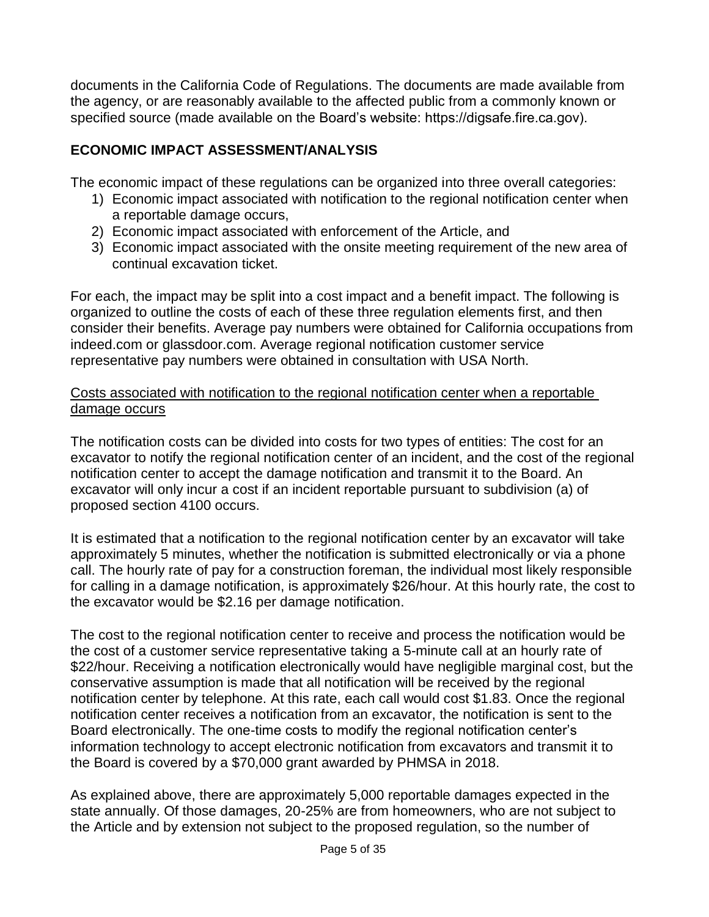documents in the California Code of Regulations. The documents are made available from the agency, or are reasonably available to the affected public from a commonly known or specified source (made available on the Board's website: https://digsafe.fire.ca.gov).

# **ECONOMIC IMPACT ASSESSMENT/ANALYSIS**

The economic impact of these regulations can be organized into three overall categories:

- 1) Economic impact associated with notification to the regional notification center when a reportable damage occurs,
- 2) Economic impact associated with enforcement of the Article, and
- 3) Economic impact associated with the onsite meeting requirement of the new area of continual excavation ticket.

For each, the impact may be split into a cost impact and a benefit impact. The following is organized to outline the costs of each of these three regulation elements first, and then consider their benefits. Average pay numbers were obtained for California occupations from indeed.com or glassdoor.com. Average regional notification customer service representative pay numbers were obtained in consultation with USA North.

#### Costs associated with notification to the regional notification center when a reportable damage occurs

The notification costs can be divided into costs for two types of entities: The cost for an excavator to notify the regional notification center of an incident, and the cost of the regional notification center to accept the damage notification and transmit it to the Board. An excavator will only incur a cost if an incident reportable pursuant to subdivision (a) of proposed section 4100 occurs.

It is estimated that a notification to the regional notification center by an excavator will take approximately 5 minutes, whether the notification is submitted electronically or via a phone call. The hourly rate of pay for a construction foreman, the individual most likely responsible for calling in a damage notification, is approximately \$26/hour. At this hourly rate, the cost to the excavator would be \$2.16 per damage notification.

The cost to the regional notification center to receive and process the notification would be the cost of a customer service representative taking a 5-minute call at an hourly rate of \$22/hour. Receiving a notification electronically would have negligible marginal cost, but the conservative assumption is made that all notification will be received by the regional notification center by telephone. At this rate, each call would cost \$1.83. Once the regional notification center receives a notification from an excavator, the notification is sent to the Board electronically. The one-time costs to modify the regional notification center's information technology to accept electronic notification from excavators and transmit it to the Board is covered by a \$70,000 grant awarded by PHMSA in 2018.

As explained above, there are approximately 5,000 reportable damages expected in the state annually. Of those damages, 20-25% are from homeowners, who are not subject to the Article and by extension not subject to the proposed regulation, so the number of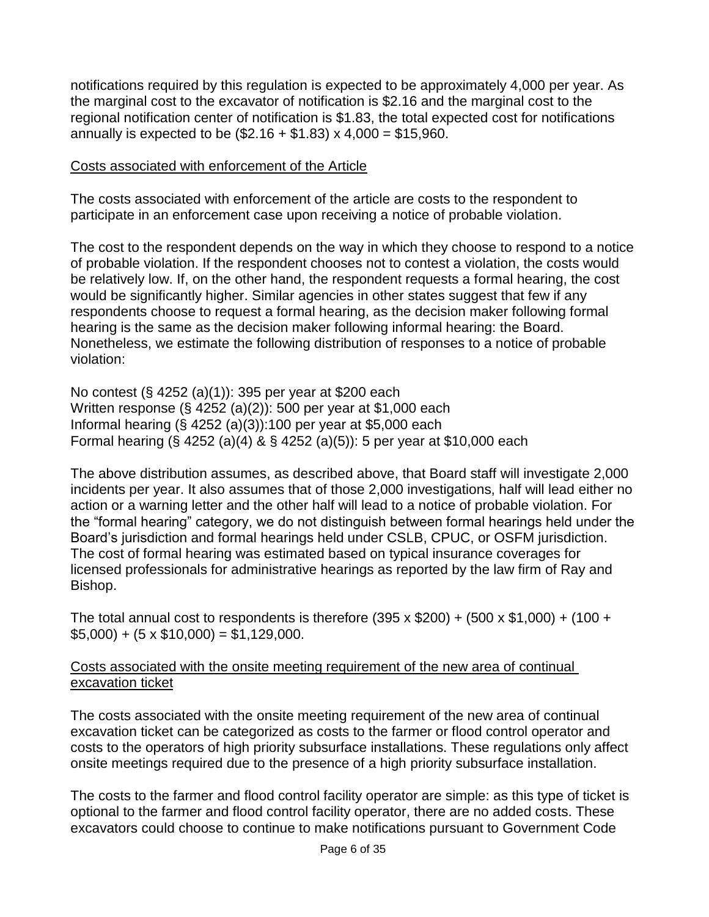notifications required by this regulation is expected to be approximately 4,000 per year. As the marginal cost to the excavator of notification is \$2.16 and the marginal cost to the regional notification center of notification is \$1.83, the total expected cost for notifications annually is expected to be  $(\$2.16 + \$1.83) \times 4,000 = \$15,960$ .

#### Costs associated with enforcement of the Article

The costs associated with enforcement of the article are costs to the respondent to participate in an enforcement case upon receiving a notice of probable violation.

The cost to the respondent depends on the way in which they choose to respond to a notice of probable violation. If the respondent chooses not to contest a violation, the costs would be relatively low. If, on the other hand, the respondent requests a formal hearing, the cost would be significantly higher. Similar agencies in other states suggest that few if any respondents choose to request a formal hearing, as the decision maker following formal hearing is the same as the decision maker following informal hearing: the Board. Nonetheless, we estimate the following distribution of responses to a notice of probable violation:

No contest (§ 4252 (a)(1)): 395 per year at \$200 each Written response (§ 4252 (a)(2)): 500 per year at \$1,000 each Informal hearing (§ 4252 (a)(3)):100 per year at \$5,000 each Formal hearing (§ 4252 (a)(4) & § 4252 (a)(5)): 5 per year at \$10,000 each

The above distribution assumes, as described above, that Board staff will investigate 2,000 incidents per year. It also assumes that of those 2,000 investigations, half will lead either no action or a warning letter and the other half will lead to a notice of probable violation. For the "formal hearing" category, we do not distinguish between formal hearings held under the Board's jurisdiction and formal hearings held under CSLB, CPUC, or OSFM jurisdiction. The cost of formal hearing was estimated based on typical insurance coverages for licensed professionals for administrative hearings as reported by the law firm of Ray and Bishop.

The total annual cost to respondents is therefore  $(395 \times $200) + (500 \times $1,000) + (100 +$  $$5,000$  + (5 x  $$10,000$ ) = \$1,129,000.

#### Costs associated with the onsite meeting requirement of the new area of continual excavation ticket

The costs associated with the onsite meeting requirement of the new area of continual excavation ticket can be categorized as costs to the farmer or flood control operator and costs to the operators of high priority subsurface installations. These regulations only affect onsite meetings required due to the presence of a high priority subsurface installation.

The costs to the farmer and flood control facility operator are simple: as this type of ticket is optional to the farmer and flood control facility operator, there are no added costs. These excavators could choose to continue to make notifications pursuant to Government Code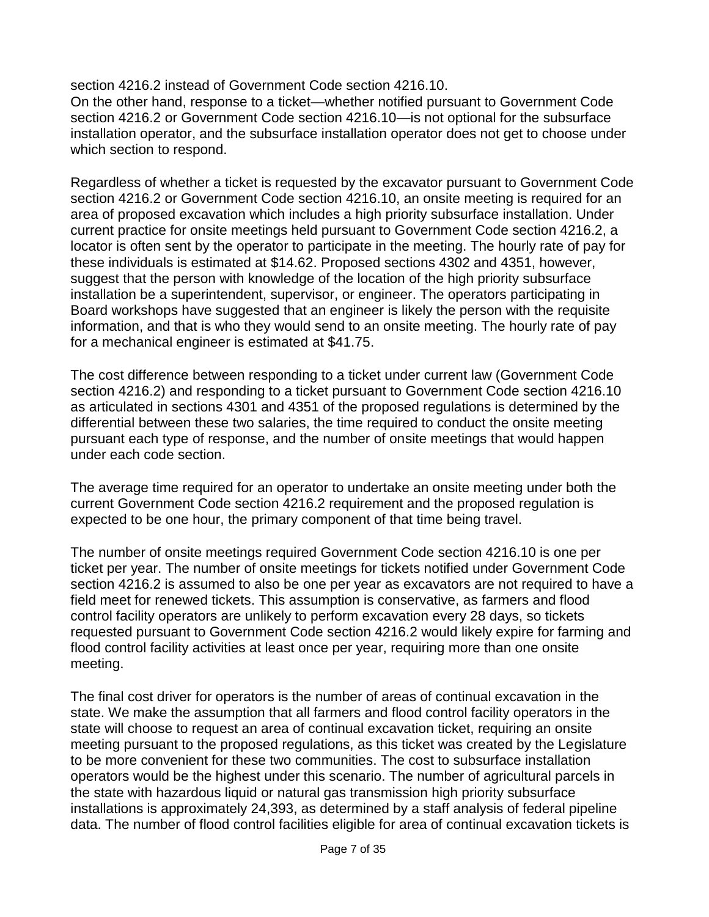section 4216.2 instead of Government Code section 4216.10.

On the other hand, response to a ticket—whether notified pursuant to Government Code section 4216.2 or Government Code section 4216.10—is not optional for the subsurface installation operator, and the subsurface installation operator does not get to choose under which section to respond.

Regardless of whether a ticket is requested by the excavator pursuant to Government Code section 4216.2 or Government Code section 4216.10, an onsite meeting is required for an area of proposed excavation which includes a high priority subsurface installation. Under current practice for onsite meetings held pursuant to Government Code section 4216.2, a locator is often sent by the operator to participate in the meeting. The hourly rate of pay for these individuals is estimated at \$14.62. Proposed sections 4302 and 4351, however, suggest that the person with knowledge of the location of the high priority subsurface installation be a superintendent, supervisor, or engineer. The operators participating in Board workshops have suggested that an engineer is likely the person with the requisite information, and that is who they would send to an onsite meeting. The hourly rate of pay for a mechanical engineer is estimated at \$41.75.

The cost difference between responding to a ticket under current law (Government Code section 4216.2) and responding to a ticket pursuant to Government Code section 4216.10 as articulated in sections 4301 and 4351 of the proposed regulations is determined by the differential between these two salaries, the time required to conduct the onsite meeting pursuant each type of response, and the number of onsite meetings that would happen under each code section.

The average time required for an operator to undertake an onsite meeting under both the current Government Code section 4216.2 requirement and the proposed regulation is expected to be one hour, the primary component of that time being travel.

The number of onsite meetings required Government Code section 4216.10 is one per ticket per year. The number of onsite meetings for tickets notified under Government Code section 4216.2 is assumed to also be one per year as excavators are not required to have a field meet for renewed tickets. This assumption is conservative, as farmers and flood control facility operators are unlikely to perform excavation every 28 days, so tickets requested pursuant to Government Code section 4216.2 would likely expire for farming and flood control facility activities at least once per year, requiring more than one onsite meeting.

The final cost driver for operators is the number of areas of continual excavation in the state. We make the assumption that all farmers and flood control facility operators in the state will choose to request an area of continual excavation ticket, requiring an onsite meeting pursuant to the proposed regulations, as this ticket was created by the Legislature to be more convenient for these two communities. The cost to subsurface installation operators would be the highest under this scenario. The number of agricultural parcels in the state with hazardous liquid or natural gas transmission high priority subsurface installations is approximately 24,393, as determined by a staff analysis of federal pipeline data. The number of flood control facilities eligible for area of continual excavation tickets is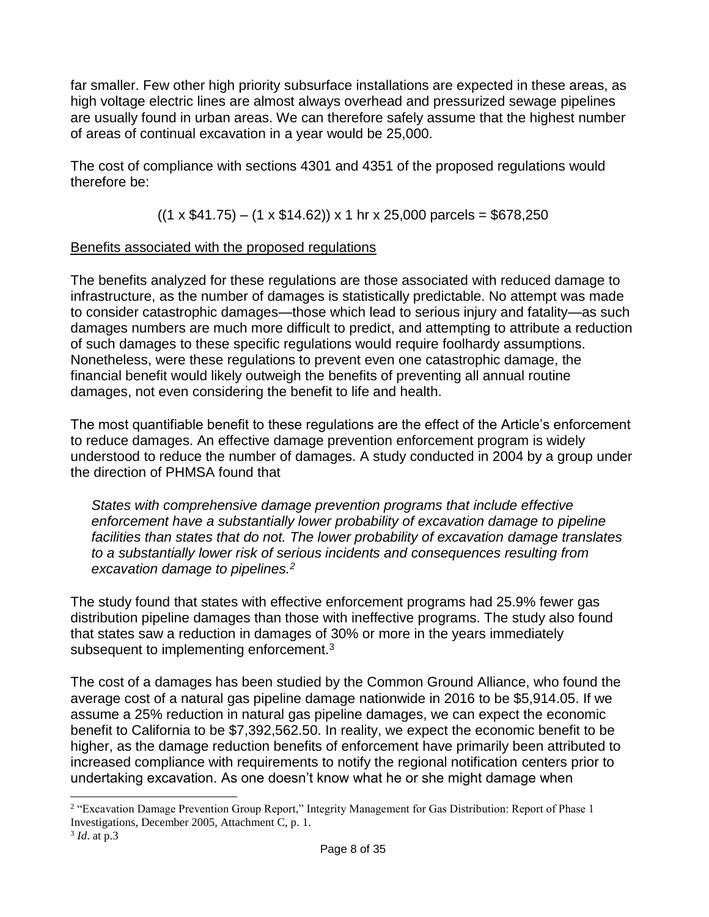far smaller. Few other high priority subsurface installations are expected in these areas, as high voltage electric lines are almost always overhead and pressurized sewage pipelines are usually found in urban areas. We can therefore safely assume that the highest number of areas of continual excavation in a year would be 25,000.

The cost of compliance with sections 4301 and 4351 of the proposed regulations would therefore be:

 $((1 \times $41.75) - (1 \times $14.62)) \times 1$  hr x 25,000 parcels = \$678,250

## Benefits associated with the proposed regulations

The benefits analyzed for these regulations are those associated with reduced damage to infrastructure, as the number of damages is statistically predictable. No attempt was made to consider catastrophic damages—those which lead to serious injury and fatality—as such damages numbers are much more difficult to predict, and attempting to attribute a reduction of such damages to these specific regulations would require foolhardy assumptions. Nonetheless, were these regulations to prevent even one catastrophic damage, the financial benefit would likely outweigh the benefits of preventing all annual routine damages, not even considering the benefit to life and health.

The most quantifiable benefit to these regulations are the effect of the Article's enforcement to reduce damages. An effective damage prevention enforcement program is widely understood to reduce the number of damages. A study conducted in 2004 by a group under the direction of PHMSA found that

*States with comprehensive damage prevention programs that include effective enforcement have a substantially lower probability of excavation damage to pipeline facilities than states that do not. The lower probability of excavation damage translates to a substantially lower risk of serious incidents and consequences resulting from excavation damage to pipelines.<sup>2</sup>*

The study found that states with effective enforcement programs had 25.9% fewer gas distribution pipeline damages than those with ineffective programs. The study also found that states saw a reduction in damages of 30% or more in the years immediately subsequent to implementing enforcement.<sup>3</sup>

The cost of a damages has been studied by the Common Ground Alliance, who found the average cost of a natural gas pipeline damage nationwide in 2016 to be \$5,914.05. If we assume a 25% reduction in natural gas pipeline damages, we can expect the economic benefit to California to be \$7,392,562.50. In reality, we expect the economic benefit to be higher, as the damage reduction benefits of enforcement have primarily been attributed to increased compliance with requirements to notify the regional notification centers prior to undertaking excavation. As one doesn't know what he or she might damage when

 <sup>2</sup> "Excavation Damage Prevention Group Report," Integrity Management for Gas Distribution: Report of Phase 1 Investigations, December 2005, Attachment C, p. 1.

<sup>3</sup> *Id*. at p.3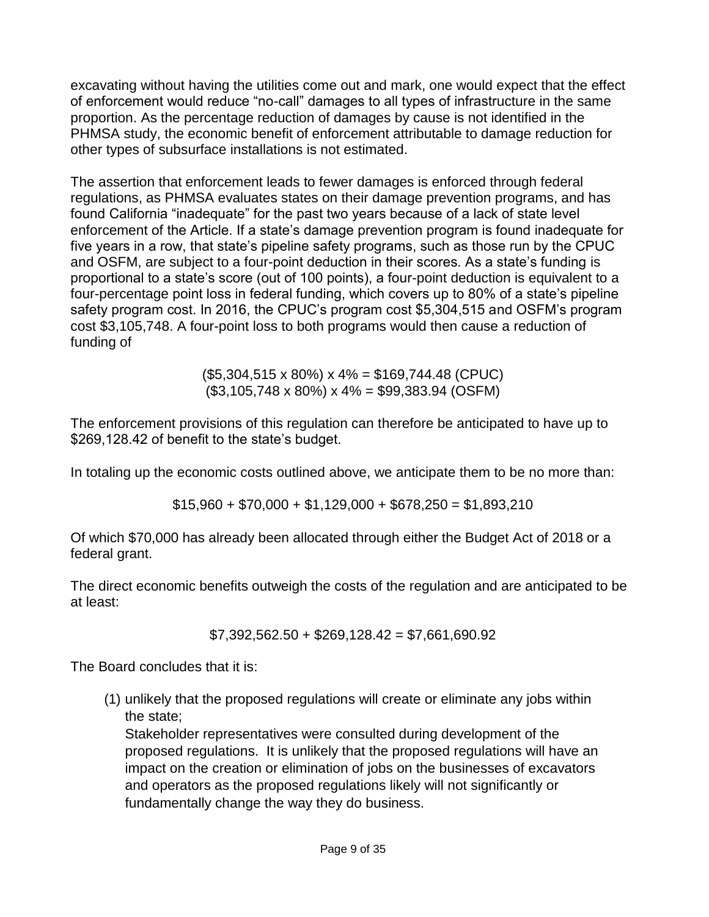excavating without having the utilities come out and mark, one would expect that the effect of enforcement would reduce "no-call" damages to all types of infrastructure in the same proportion. As the percentage reduction of damages by cause is not identified in the PHMSA study, the economic benefit of enforcement attributable to damage reduction for other types of subsurface installations is not estimated.

The assertion that enforcement leads to fewer damages is enforced through federal regulations, as PHMSA evaluates states on their damage prevention programs, and has found California "inadequate" for the past two years because of a lack of state level enforcement of the Article. If a state's damage prevention program is found inadequate for five years in a row, that state's pipeline safety programs, such as those run by the CPUC and OSFM, are subject to a four-point deduction in their scores. As a state's funding is proportional to a state's score (out of 100 points), a four-point deduction is equivalent to a four-percentage point loss in federal funding, which covers up to 80% of a state's pipeline safety program cost. In 2016, the CPUC's program cost \$5,304,515 and OSFM's program cost \$3,105,748. A four-point loss to both programs would then cause a reduction of funding of

> $($5,304,515 \times 80\%) \times 4\% = $169,744.48$  (CPUC) (\$3,105,748 x 80%) x 4% = \$99,383.94 (OSFM)

The enforcement provisions of this regulation can therefore be anticipated to have up to \$269,128.42 of benefit to the state's budget.

In totaling up the economic costs outlined above, we anticipate them to be no more than:

 $$15,960 + $70,000 + $1,129,000 + $678,250 = $1,893,210$ 

Of which \$70,000 has already been allocated through either the Budget Act of 2018 or a federal grant.

The direct economic benefits outweigh the costs of the regulation and are anticipated to be at least:

\$7,392,562.50 + \$269,128.42 = \$7,661,690.92

The Board concludes that it is:

(1) unlikely that the proposed regulations will create or eliminate any jobs within the state;

Stakeholder representatives were consulted during development of the proposed regulations. It is unlikely that the proposed regulations will have an impact on the creation or elimination of jobs on the businesses of excavators and operators as the proposed regulations likely will not significantly or fundamentally change the way they do business.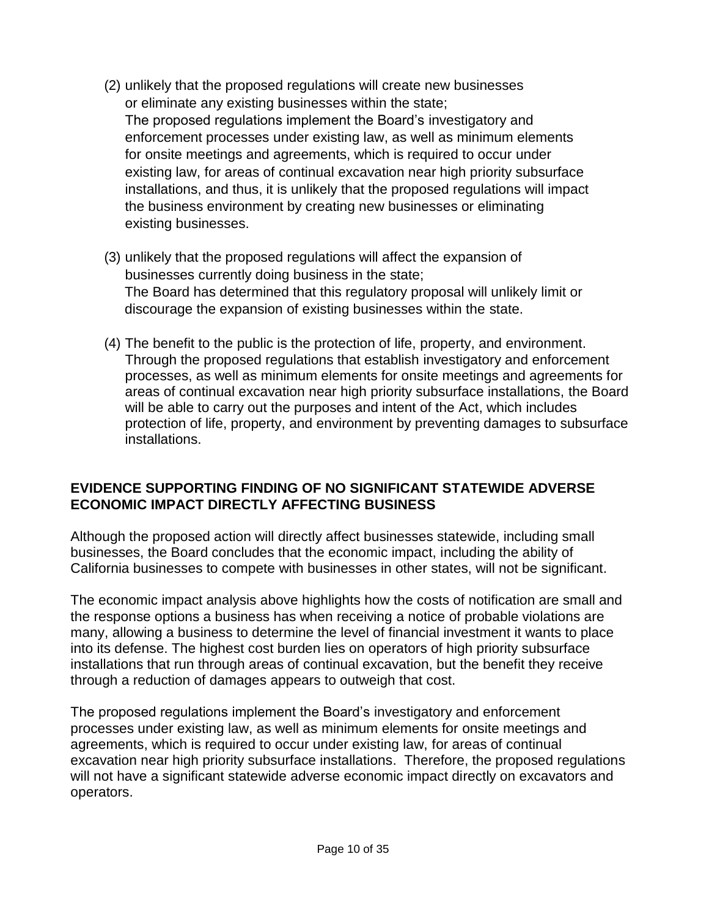- (2) unlikely that the proposed regulations will create new businesses or eliminate any existing businesses within the state; The proposed regulations implement the Board's investigatory and enforcement processes under existing law, as well as minimum elements for onsite meetings and agreements, which is required to occur under existing law, for areas of continual excavation near high priority subsurface installations, and thus, it is unlikely that the proposed regulations will impact the business environment by creating new businesses or eliminating existing businesses.
- (3) unlikely that the proposed regulations will affect the expansion of businesses currently doing business in the state; The Board has determined that this regulatory proposal will unlikely limit or discourage the expansion of existing businesses within the state.
- (4) The benefit to the public is the protection of life, property, and environment. Through the proposed regulations that establish investigatory and enforcement processes, as well as minimum elements for onsite meetings and agreements for areas of continual excavation near high priority subsurface installations, the Board will be able to carry out the purposes and intent of the Act, which includes protection of life, property, and environment by preventing damages to subsurface installations.

#### **EVIDENCE SUPPORTING FINDING OF NO SIGNIFICANT STATEWIDE ADVERSE ECONOMIC IMPACT DIRECTLY AFFECTING BUSINESS**

Although the proposed action will directly affect businesses statewide, including small businesses, the Board concludes that the economic impact, including the ability of California businesses to compete with businesses in other states, will not be significant.

The economic impact analysis above highlights how the costs of notification are small and the response options a business has when receiving a notice of probable violations are many, allowing a business to determine the level of financial investment it wants to place into its defense. The highest cost burden lies on operators of high priority subsurface installations that run through areas of continual excavation, but the benefit they receive through a reduction of damages appears to outweigh that cost.

The proposed regulations implement the Board's investigatory and enforcement processes under existing law, as well as minimum elements for onsite meetings and agreements, which is required to occur under existing law, for areas of continual excavation near high priority subsurface installations. Therefore, the proposed regulations will not have a significant statewide adverse economic impact directly on excavators and operators.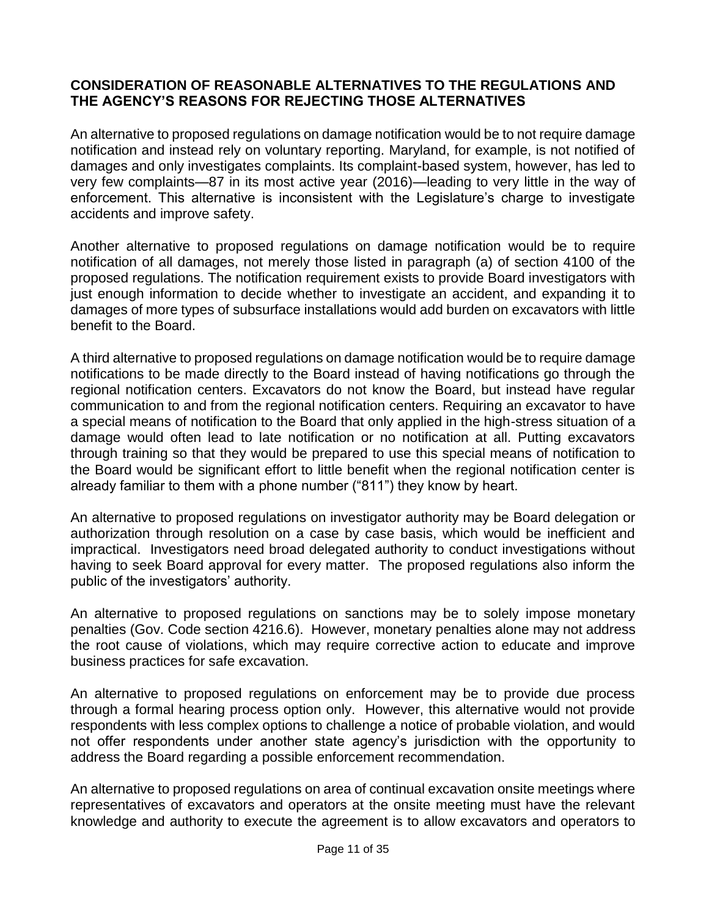#### **CONSIDERATION OF REASONABLE ALTERNATIVES TO THE REGULATIONS AND THE AGENCY'S REASONS FOR REJECTING THOSE ALTERNATIVES**

An alternative to proposed regulations on damage notification would be to not require damage notification and instead rely on voluntary reporting. Maryland, for example, is not notified of damages and only investigates complaints. Its complaint-based system, however, has led to very few complaints—87 in its most active year (2016)—leading to very little in the way of enforcement. This alternative is inconsistent with the Legislature's charge to investigate accidents and improve safety.

Another alternative to proposed regulations on damage notification would be to require notification of all damages, not merely those listed in paragraph (a) of section 4100 of the proposed regulations. The notification requirement exists to provide Board investigators with just enough information to decide whether to investigate an accident, and expanding it to damages of more types of subsurface installations would add burden on excavators with little benefit to the Board.

A third alternative to proposed regulations on damage notification would be to require damage notifications to be made directly to the Board instead of having notifications go through the regional notification centers. Excavators do not know the Board, but instead have regular communication to and from the regional notification centers. Requiring an excavator to have a special means of notification to the Board that only applied in the high-stress situation of a damage would often lead to late notification or no notification at all. Putting excavators through training so that they would be prepared to use this special means of notification to the Board would be significant effort to little benefit when the regional notification center is already familiar to them with a phone number ("811") they know by heart.

An alternative to proposed regulations on investigator authority may be Board delegation or authorization through resolution on a case by case basis, which would be inefficient and impractical. Investigators need broad delegated authority to conduct investigations without having to seek Board approval for every matter. The proposed regulations also inform the public of the investigators' authority.

An alternative to proposed regulations on sanctions may be to solely impose monetary penalties (Gov. Code section 4216.6). However, monetary penalties alone may not address the root cause of violations, which may require corrective action to educate and improve business practices for safe excavation.

An alternative to proposed regulations on enforcement may be to provide due process through a formal hearing process option only. However, this alternative would not provide respondents with less complex options to challenge a notice of probable violation, and would not offer respondents under another state agency's jurisdiction with the opportunity to address the Board regarding a possible enforcement recommendation.

An alternative to proposed regulations on area of continual excavation onsite meetings where representatives of excavators and operators at the onsite meeting must have the relevant knowledge and authority to execute the agreement is to allow excavators and operators to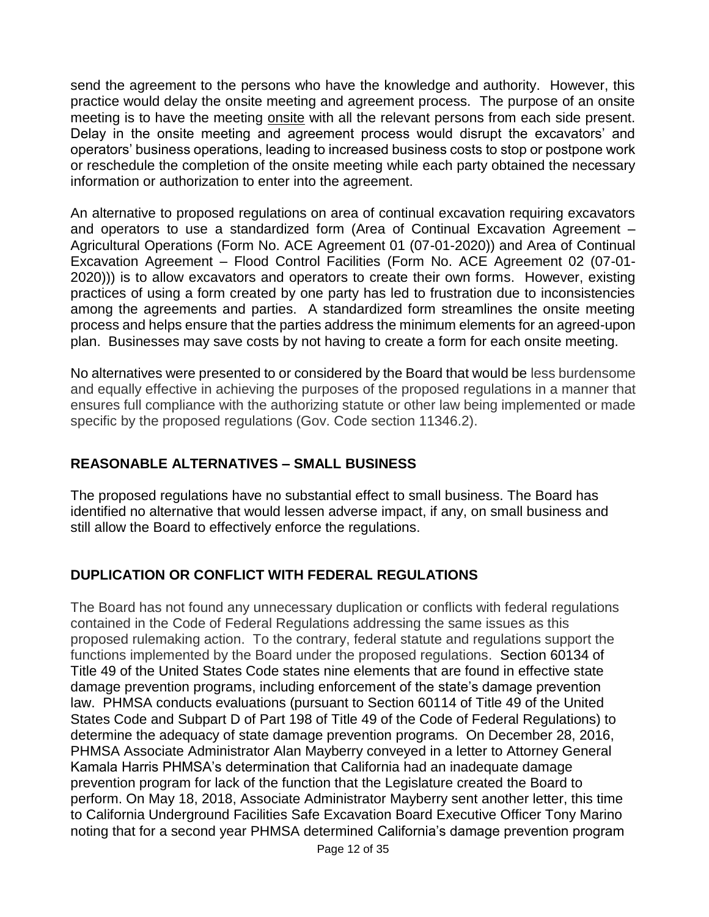send the agreement to the persons who have the knowledge and authority. However, this practice would delay the onsite meeting and agreement process. The purpose of an onsite meeting is to have the meeting onsite with all the relevant persons from each side present. Delay in the onsite meeting and agreement process would disrupt the excavators' and operators' business operations, leading to increased business costs to stop or postpone work or reschedule the completion of the onsite meeting while each party obtained the necessary information or authorization to enter into the agreement.

An alternative to proposed regulations on area of continual excavation requiring excavators and operators to use a standardized form (Area of Continual Excavation Agreement – Agricultural Operations (Form No. ACE Agreement 01 (07-01-2020)) and Area of Continual Excavation Agreement – Flood Control Facilities (Form No. ACE Agreement 02 (07-01- 2020))) is to allow excavators and operators to create their own forms. However, existing practices of using a form created by one party has led to frustration due to inconsistencies among the agreements and parties. A standardized form streamlines the onsite meeting process and helps ensure that the parties address the minimum elements for an agreed-upon plan. Businesses may save costs by not having to create a form for each onsite meeting.

No alternatives were presented to or considered by the Board that would be less burdensome and equally effective in achieving the purposes of the proposed regulations in a manner that ensures full compliance with the authorizing statute or other law being implemented or made specific by the proposed regulations (Gov. Code section 11346.2).

# **REASONABLE ALTERNATIVES – SMALL BUSINESS**

The proposed regulations have no substantial effect to small business. The Board has identified no alternative that would lessen adverse impact, if any, on small business and still allow the Board to effectively enforce the regulations.

# **DUPLICATION OR CONFLICT WITH FEDERAL REGULATIONS**

The Board has not found any unnecessary duplication or conflicts with federal regulations contained in the Code of Federal Regulations addressing the same issues as this proposed rulemaking action. To the contrary, federal statute and regulations support the functions implemented by the Board under the proposed regulations. Section 60134 of Title 49 of the United States Code states nine elements that are found in effective state damage prevention programs, including enforcement of the state's damage prevention law. PHMSA conducts evaluations (pursuant to Section 60114 of Title 49 of the United States Code and Subpart D of Part 198 of Title 49 of the Code of Federal Regulations) to determine the adequacy of state damage prevention programs. On December 28, 2016, PHMSA Associate Administrator Alan Mayberry conveyed in a letter to Attorney General Kamala Harris PHMSA's determination that California had an inadequate damage prevention program for lack of the function that the Legislature created the Board to perform. On May 18, 2018, Associate Administrator Mayberry sent another letter, this time to California Underground Facilities Safe Excavation Board Executive Officer Tony Marino noting that for a second year PHMSA determined California's damage prevention program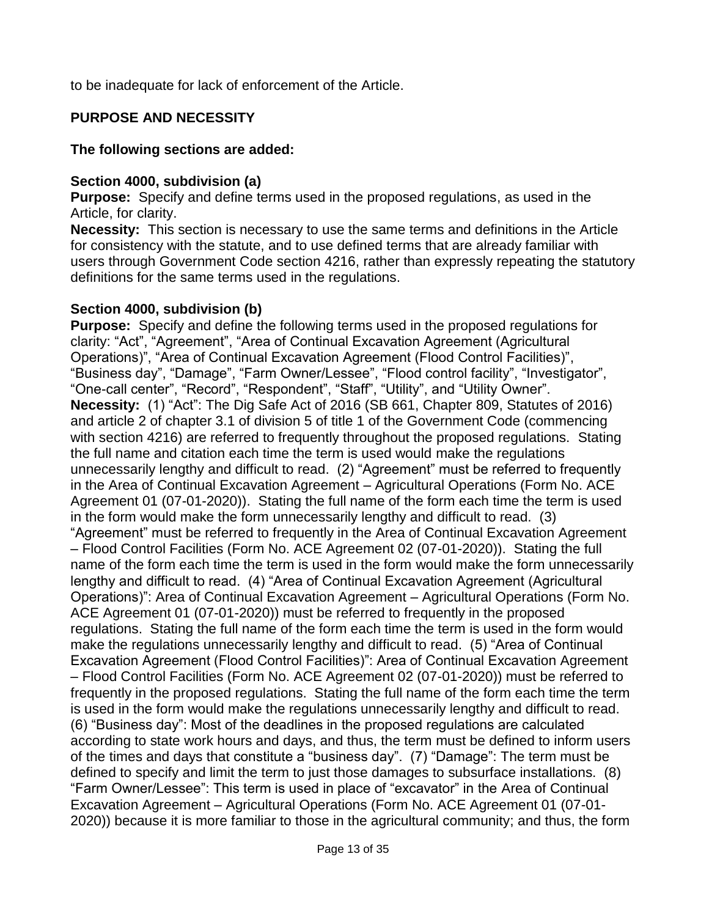to be inadequate for lack of enforcement of the Article.

## **PURPOSE AND NECESSITY**

#### **The following sections are added:**

#### **Section 4000, subdivision (a)**

**Purpose:** Specify and define terms used in the proposed regulations, as used in the Article, for clarity.

**Necessity:** This section is necessary to use the same terms and definitions in the Article for consistency with the statute, and to use defined terms that are already familiar with users through Government Code section 4216, rather than expressly repeating the statutory definitions for the same terms used in the regulations.

## **Section 4000, subdivision (b)**

**Purpose:** Specify and define the following terms used in the proposed regulations for clarity: "Act", "Agreement", "Area of Continual Excavation Agreement (Agricultural Operations)", "Area of Continual Excavation Agreement (Flood Control Facilities)", "Business day", "Damage", "Farm Owner/Lessee", "Flood control facility", "Investigator", "One-call center", "Record", "Respondent", "Staff", "Utility", and "Utility Owner". **Necessity:** (1) "Act": The Dig Safe Act of 2016 (SB 661, Chapter 809, Statutes of 2016) and article 2 of chapter 3.1 of division 5 of title 1 of the Government Code (commencing with section 4216) are referred to frequently throughout the proposed regulations. Stating the full name and citation each time the term is used would make the regulations unnecessarily lengthy and difficult to read. (2) "Agreement" must be referred to frequently in the Area of Continual Excavation Agreement – Agricultural Operations (Form No. ACE Agreement 01 (07-01-2020)). Stating the full name of the form each time the term is used in the form would make the form unnecessarily lengthy and difficult to read. (3) "Agreement" must be referred to frequently in the Area of Continual Excavation Agreement – Flood Control Facilities (Form No. ACE Agreement 02 (07-01-2020)). Stating the full name of the form each time the term is used in the form would make the form unnecessarily lengthy and difficult to read. (4) "Area of Continual Excavation Agreement (Agricultural Operations)": Area of Continual Excavation Agreement – Agricultural Operations (Form No. ACE Agreement 01 (07-01-2020)) must be referred to frequently in the proposed regulations. Stating the full name of the form each time the term is used in the form would make the regulations unnecessarily lengthy and difficult to read. (5) "Area of Continual Excavation Agreement (Flood Control Facilities)": Area of Continual Excavation Agreement – Flood Control Facilities (Form No. ACE Agreement 02 (07-01-2020)) must be referred to frequently in the proposed regulations. Stating the full name of the form each time the term is used in the form would make the regulations unnecessarily lengthy and difficult to read. (6) "Business day": Most of the deadlines in the proposed regulations are calculated according to state work hours and days, and thus, the term must be defined to inform users of the times and days that constitute a "business day". (7) "Damage": The term must be defined to specify and limit the term to just those damages to subsurface installations. (8) "Farm Owner/Lessee": This term is used in place of "excavator" in the Area of Continual Excavation Agreement – Agricultural Operations (Form No. ACE Agreement 01 (07-01- 2020)) because it is more familiar to those in the agricultural community; and thus, the form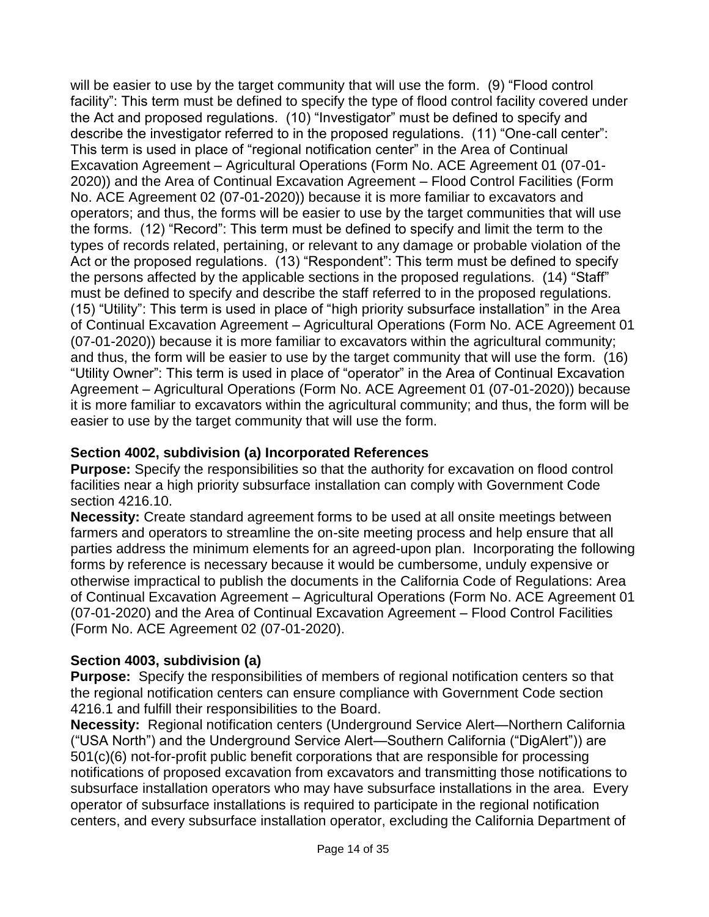will be easier to use by the target community that will use the form. (9) "Flood control facility": This term must be defined to specify the type of flood control facility covered under the Act and proposed regulations. (10) "Investigator" must be defined to specify and describe the investigator referred to in the proposed regulations. (11) "One-call center": This term is used in place of "regional notification center" in the Area of Continual Excavation Agreement – Agricultural Operations (Form No. ACE Agreement 01 (07-01- 2020)) and the Area of Continual Excavation Agreement – Flood Control Facilities (Form No. ACE Agreement 02 (07-01-2020)) because it is more familiar to excavators and operators; and thus, the forms will be easier to use by the target communities that will use the forms. (12) "Record": This term must be defined to specify and limit the term to the types of records related, pertaining, or relevant to any damage or probable violation of the Act or the proposed regulations. (13) "Respondent": This term must be defined to specify the persons affected by the applicable sections in the proposed regulations. (14) "Staff" must be defined to specify and describe the staff referred to in the proposed regulations. (15) "Utility": This term is used in place of "high priority subsurface installation" in the Area of Continual Excavation Agreement – Agricultural Operations (Form No. ACE Agreement 01 (07-01-2020)) because it is more familiar to excavators within the agricultural community; and thus, the form will be easier to use by the target community that will use the form. (16) "Utility Owner": This term is used in place of "operator" in the Area of Continual Excavation Agreement – Agricultural Operations (Form No. ACE Agreement 01 (07-01-2020)) because it is more familiar to excavators within the agricultural community; and thus, the form will be easier to use by the target community that will use the form.

## **Section 4002, subdivision (a) Incorporated References**

**Purpose:** Specify the responsibilities so that the authority for excavation on flood control facilities near a high priority subsurface installation can comply with Government Code section 4216.10.

**Necessity:** Create standard agreement forms to be used at all onsite meetings between farmers and operators to streamline the on-site meeting process and help ensure that all parties address the minimum elements for an agreed-upon plan. Incorporating the following forms by reference is necessary because it would be cumbersome, unduly expensive or otherwise impractical to publish the documents in the California Code of Regulations: Area of Continual Excavation Agreement – Agricultural Operations (Form No. ACE Agreement 01 (07-01-2020) and the Area of Continual Excavation Agreement – Flood Control Facilities (Form No. ACE Agreement 02 (07-01-2020).

# **Section 4003, subdivision (a)**

**Purpose:** Specify the responsibilities of members of regional notification centers so that the regional notification centers can ensure compliance with Government Code section 4216.1 and fulfill their responsibilities to the Board.

**Necessity:** Regional notification centers (Underground Service Alert—Northern California ("USA North") and the Underground Service Alert—Southern California ("DigAlert")) are 501(c)(6) not-for-profit public benefit corporations that are responsible for processing notifications of proposed excavation from excavators and transmitting those notifications to subsurface installation operators who may have subsurface installations in the area. Every operator of subsurface installations is required to participate in the regional notification centers, and every subsurface installation operator, excluding the California Department of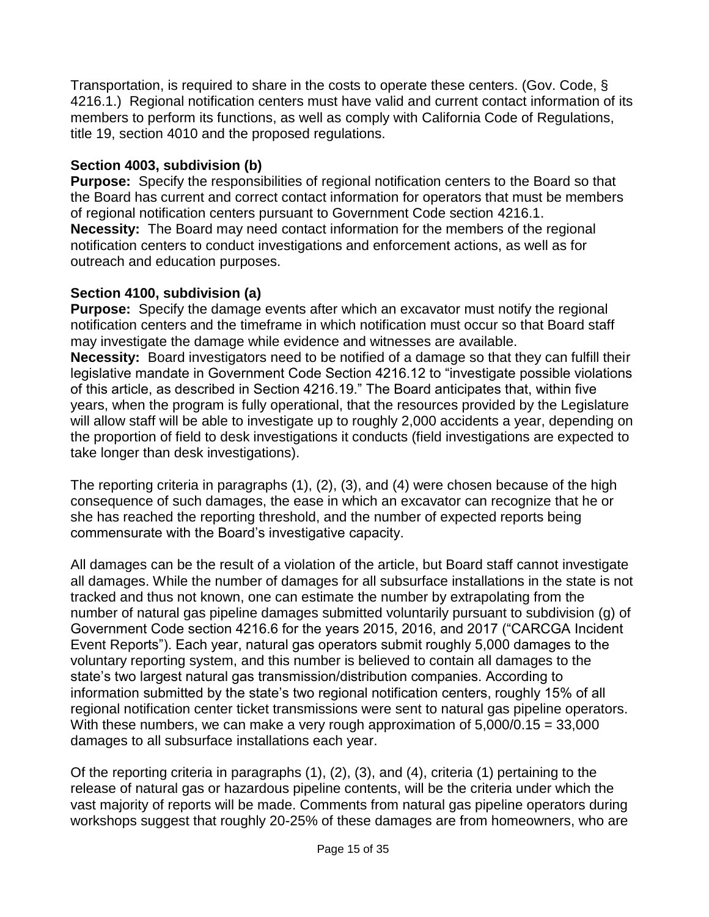Transportation, is required to share in the costs to operate these centers. (Gov. Code, § 4216.1.) Regional notification centers must have valid and current contact information of its members to perform its functions, as well as comply with California Code of Regulations, title 19, section 4010 and the proposed regulations.

## **Section 4003, subdivision (b)**

**Purpose:** Specify the responsibilities of regional notification centers to the Board so that the Board has current and correct contact information for operators that must be members of regional notification centers pursuant to Government Code section 4216.1. **Necessity:** The Board may need contact information for the members of the regional notification centers to conduct investigations and enforcement actions, as well as for outreach and education purposes.

## **Section 4100, subdivision (a)**

**Purpose:** Specify the damage events after which an excavator must notify the regional notification centers and the timeframe in which notification must occur so that Board staff may investigate the damage while evidence and witnesses are available. **Necessity:** Board investigators need to be notified of a damage so that they can fulfill their legislative mandate in Government Code Section 4216.12 to "investigate possible violations of this article, as described in Section 4216.19." The Board anticipates that, within five years, when the program is fully operational, that the resources provided by the Legislature will allow staff will be able to investigate up to roughly 2,000 accidents a year, depending on the proportion of field to desk investigations it conducts (field investigations are expected to take longer than desk investigations).

The reporting criteria in paragraphs (1), (2), (3), and (4) were chosen because of the high consequence of such damages, the ease in which an excavator can recognize that he or she has reached the reporting threshold, and the number of expected reports being commensurate with the Board's investigative capacity.

All damages can be the result of a violation of the article, but Board staff cannot investigate all damages. While the number of damages for all subsurface installations in the state is not tracked and thus not known, one can estimate the number by extrapolating from the number of natural gas pipeline damages submitted voluntarily pursuant to subdivision (g) of Government Code section 4216.6 for the years 2015, 2016, and 2017 ("CARCGA Incident Event Reports"). Each year, natural gas operators submit roughly 5,000 damages to the voluntary reporting system, and this number is believed to contain all damages to the state's two largest natural gas transmission/distribution companies. According to information submitted by the state's two regional notification centers, roughly 15% of all regional notification center ticket transmissions were sent to natural gas pipeline operators. With these numbers, we can make a very rough approximation of 5,000/0.15 = 33,000 damages to all subsurface installations each year.

Of the reporting criteria in paragraphs (1), (2), (3), and (4), criteria (1) pertaining to the release of natural gas or hazardous pipeline contents, will be the criteria under which the vast majority of reports will be made. Comments from natural gas pipeline operators during workshops suggest that roughly 20-25% of these damages are from homeowners, who are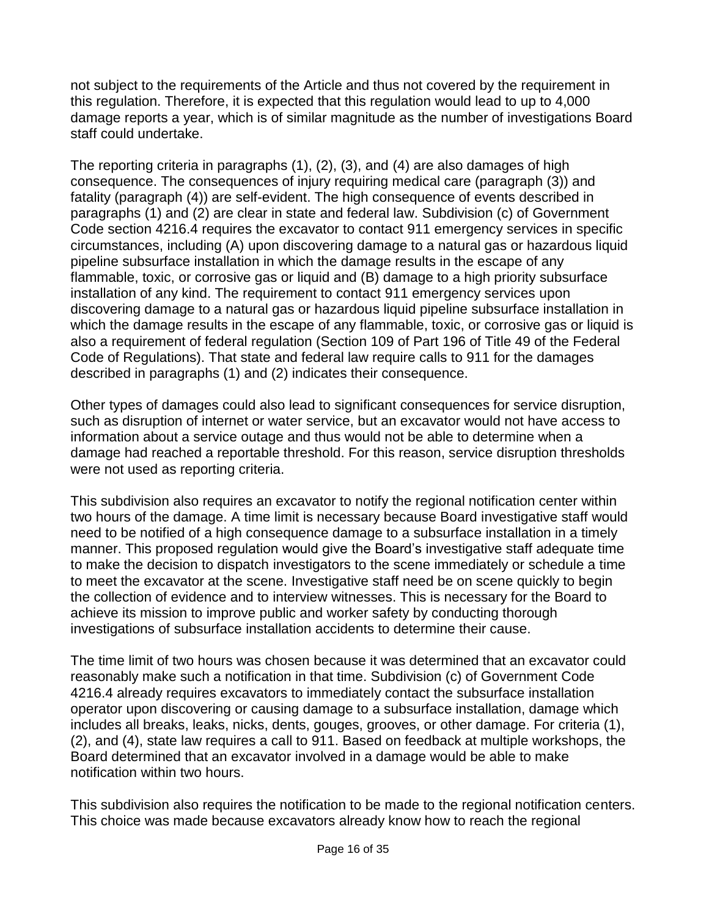not subject to the requirements of the Article and thus not covered by the requirement in this regulation. Therefore, it is expected that this regulation would lead to up to 4,000 damage reports a year, which is of similar magnitude as the number of investigations Board staff could undertake.

The reporting criteria in paragraphs (1), (2), (3), and (4) are also damages of high consequence. The consequences of injury requiring medical care (paragraph (3)) and fatality (paragraph (4)) are self-evident. The high consequence of events described in paragraphs (1) and (2) are clear in state and federal law. Subdivision (c) of Government Code section 4216.4 requires the excavator to contact 911 emergency services in specific circumstances, including (A) upon discovering damage to a natural gas or hazardous liquid pipeline subsurface installation in which the damage results in the escape of any flammable, toxic, or corrosive gas or liquid and (B) damage to a high priority subsurface installation of any kind. The requirement to contact 911 emergency services upon discovering damage to a natural gas or hazardous liquid pipeline subsurface installation in which the damage results in the escape of any flammable, toxic, or corrosive gas or liquid is also a requirement of federal regulation (Section 109 of Part 196 of Title 49 of the Federal Code of Regulations). That state and federal law require calls to 911 for the damages described in paragraphs (1) and (2) indicates their consequence.

Other types of damages could also lead to significant consequences for service disruption, such as disruption of internet or water service, but an excavator would not have access to information about a service outage and thus would not be able to determine when a damage had reached a reportable threshold. For this reason, service disruption thresholds were not used as reporting criteria.

This subdivision also requires an excavator to notify the regional notification center within two hours of the damage. A time limit is necessary because Board investigative staff would need to be notified of a high consequence damage to a subsurface installation in a timely manner. This proposed regulation would give the Board's investigative staff adequate time to make the decision to dispatch investigators to the scene immediately or schedule a time to meet the excavator at the scene. Investigative staff need be on scene quickly to begin the collection of evidence and to interview witnesses. This is necessary for the Board to achieve its mission to improve public and worker safety by conducting thorough investigations of subsurface installation accidents to determine their cause.

The time limit of two hours was chosen because it was determined that an excavator could reasonably make such a notification in that time. Subdivision (c) of Government Code 4216.4 already requires excavators to immediately contact the subsurface installation operator upon discovering or causing damage to a subsurface installation, damage which includes all breaks, leaks, nicks, dents, gouges, grooves, or other damage. For criteria (1), (2), and (4), state law requires a call to 911. Based on feedback at multiple workshops, the Board determined that an excavator involved in a damage would be able to make notification within two hours.

This subdivision also requires the notification to be made to the regional notification centers. This choice was made because excavators already know how to reach the regional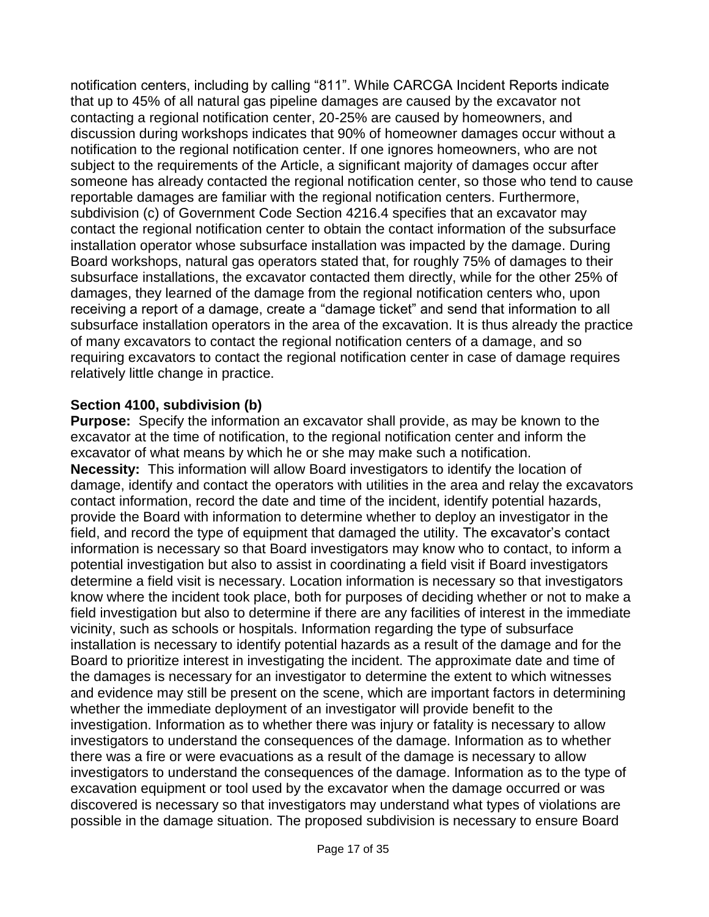notification centers, including by calling "811". While CARCGA Incident Reports indicate that up to 45% of all natural gas pipeline damages are caused by the excavator not contacting a regional notification center, 20-25% are caused by homeowners, and discussion during workshops indicates that 90% of homeowner damages occur without a notification to the regional notification center. If one ignores homeowners, who are not subject to the requirements of the Article, a significant majority of damages occur after someone has already contacted the regional notification center, so those who tend to cause reportable damages are familiar with the regional notification centers. Furthermore, subdivision (c) of Government Code Section 4216.4 specifies that an excavator may contact the regional notification center to obtain the contact information of the subsurface installation operator whose subsurface installation was impacted by the damage. During Board workshops, natural gas operators stated that, for roughly 75% of damages to their subsurface installations, the excavator contacted them directly, while for the other 25% of damages, they learned of the damage from the regional notification centers who, upon receiving a report of a damage, create a "damage ticket" and send that information to all subsurface installation operators in the area of the excavation. It is thus already the practice of many excavators to contact the regional notification centers of a damage, and so requiring excavators to contact the regional notification center in case of damage requires relatively little change in practice.

#### **Section 4100, subdivision (b)**

**Purpose:** Specify the information an excavator shall provide, as may be known to the excavator at the time of notification, to the regional notification center and inform the excavator of what means by which he or she may make such a notification. **Necessity:** This information will allow Board investigators to identify the location of damage, identify and contact the operators with utilities in the area and relay the excavators contact information, record the date and time of the incident, identify potential hazards, provide the Board with information to determine whether to deploy an investigator in the field, and record the type of equipment that damaged the utility. The excavator's contact information is necessary so that Board investigators may know who to contact, to inform a potential investigation but also to assist in coordinating a field visit if Board investigators determine a field visit is necessary. Location information is necessary so that investigators know where the incident took place, both for purposes of deciding whether or not to make a field investigation but also to determine if there are any facilities of interest in the immediate vicinity, such as schools or hospitals. Information regarding the type of subsurface installation is necessary to identify potential hazards as a result of the damage and for the Board to prioritize interest in investigating the incident. The approximate date and time of the damages is necessary for an investigator to determine the extent to which witnesses and evidence may still be present on the scene, which are important factors in determining whether the immediate deployment of an investigator will provide benefit to the investigation. Information as to whether there was injury or fatality is necessary to allow investigators to understand the consequences of the damage. Information as to whether there was a fire or were evacuations as a result of the damage is necessary to allow investigators to understand the consequences of the damage. Information as to the type of excavation equipment or tool used by the excavator when the damage occurred or was discovered is necessary so that investigators may understand what types of violations are possible in the damage situation. The proposed subdivision is necessary to ensure Board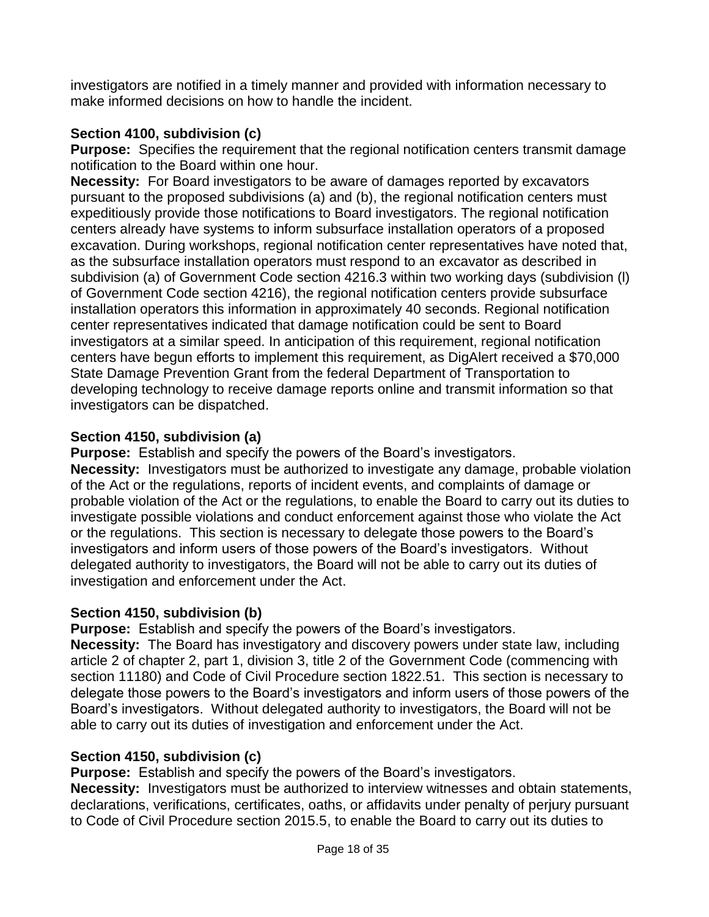investigators are notified in a timely manner and provided with information necessary to make informed decisions on how to handle the incident.

# **Section 4100, subdivision (c)**

**Purpose:** Specifies the requirement that the regional notification centers transmit damage notification to the Board within one hour.

**Necessity:** For Board investigators to be aware of damages reported by excavators pursuant to the proposed subdivisions (a) and (b), the regional notification centers must expeditiously provide those notifications to Board investigators. The regional notification centers already have systems to inform subsurface installation operators of a proposed excavation. During workshops, regional notification center representatives have noted that, as the subsurface installation operators must respond to an excavator as described in subdivision (a) of Government Code section 4216.3 within two working days (subdivision (l) of Government Code section 4216), the regional notification centers provide subsurface installation operators this information in approximately 40 seconds. Regional notification center representatives indicated that damage notification could be sent to Board investigators at a similar speed. In anticipation of this requirement, regional notification centers have begun efforts to implement this requirement, as DigAlert received a \$70,000 State Damage Prevention Grant from the federal Department of Transportation to developing technology to receive damage reports online and transmit information so that investigators can be dispatched.

# **Section 4150, subdivision (a)**

**Purpose:** Establish and specify the powers of the Board's investigators. **Necessity:** Investigators must be authorized to investigate any damage, probable violation of the Act or the regulations, reports of incident events, and complaints of damage or probable violation of the Act or the regulations, to enable the Board to carry out its duties to investigate possible violations and conduct enforcement against those who violate the Act or the regulations. This section is necessary to delegate those powers to the Board's investigators and inform users of those powers of the Board's investigators. Without delegated authority to investigators, the Board will not be able to carry out its duties of investigation and enforcement under the Act.

# **Section 4150, subdivision (b)**

**Purpose:** Establish and specify the powers of the Board's investigators.

**Necessity:** The Board has investigatory and discovery powers under state law, including article 2 of chapter 2, part 1, division 3, title 2 of the Government Code (commencing with section 11180) and Code of Civil Procedure section 1822.51. This section is necessary to delegate those powers to the Board's investigators and inform users of those powers of the Board's investigators. Without delegated authority to investigators, the Board will not be able to carry out its duties of investigation and enforcement under the Act.

# **Section 4150, subdivision (c)**

**Purpose:** Establish and specify the powers of the Board's investigators.

**Necessity:** Investigators must be authorized to interview witnesses and obtain statements, declarations, verifications, certificates, oaths, or affidavits under penalty of perjury pursuant to Code of Civil Procedure section 2015.5, to enable the Board to carry out its duties to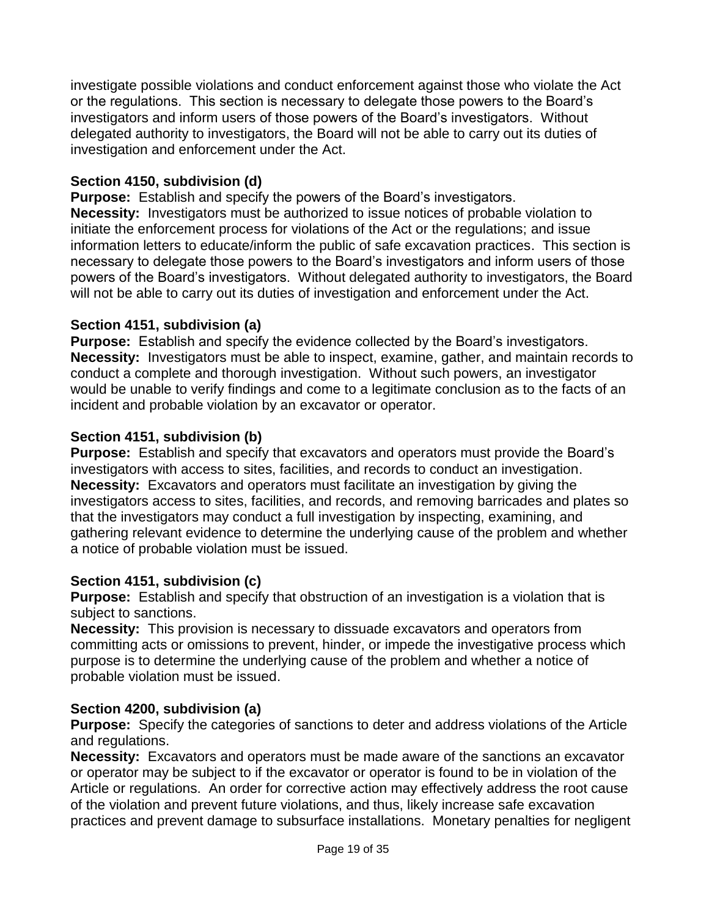investigate possible violations and conduct enforcement against those who violate the Act or the regulations. This section is necessary to delegate those powers to the Board's investigators and inform users of those powers of the Board's investigators. Without delegated authority to investigators, the Board will not be able to carry out its duties of investigation and enforcement under the Act.

## **Section 4150, subdivision (d)**

**Purpose:** Establish and specify the powers of the Board's investigators. **Necessity:** Investigators must be authorized to issue notices of probable violation to initiate the enforcement process for violations of the Act or the regulations; and issue information letters to educate/inform the public of safe excavation practices. This section is necessary to delegate those powers to the Board's investigators and inform users of those powers of the Board's investigators. Without delegated authority to investigators, the Board will not be able to carry out its duties of investigation and enforcement under the Act.

## **Section 4151, subdivision (a)**

**Purpose:** Establish and specify the evidence collected by the Board's investigators. **Necessity:** Investigators must be able to inspect, examine, gather, and maintain records to conduct a complete and thorough investigation. Without such powers, an investigator would be unable to verify findings and come to a legitimate conclusion as to the facts of an incident and probable violation by an excavator or operator.

## **Section 4151, subdivision (b)**

**Purpose:** Establish and specify that excavators and operators must provide the Board's investigators with access to sites, facilities, and records to conduct an investigation. **Necessity:** Excavators and operators must facilitate an investigation by giving the investigators access to sites, facilities, and records, and removing barricades and plates so that the investigators may conduct a full investigation by inspecting, examining, and gathering relevant evidence to determine the underlying cause of the problem and whether a notice of probable violation must be issued.

## **Section 4151, subdivision (c)**

**Purpose:** Establish and specify that obstruction of an investigation is a violation that is subject to sanctions.

**Necessity:** This provision is necessary to dissuade excavators and operators from committing acts or omissions to prevent, hinder, or impede the investigative process which purpose is to determine the underlying cause of the problem and whether a notice of probable violation must be issued.

# **Section 4200, subdivision (a)**

**Purpose:** Specify the categories of sanctions to deter and address violations of the Article and regulations.

**Necessity:** Excavators and operators must be made aware of the sanctions an excavator or operator may be subject to if the excavator or operator is found to be in violation of the Article or regulations. An order for corrective action may effectively address the root cause of the violation and prevent future violations, and thus, likely increase safe excavation practices and prevent damage to subsurface installations. Monetary penalties for negligent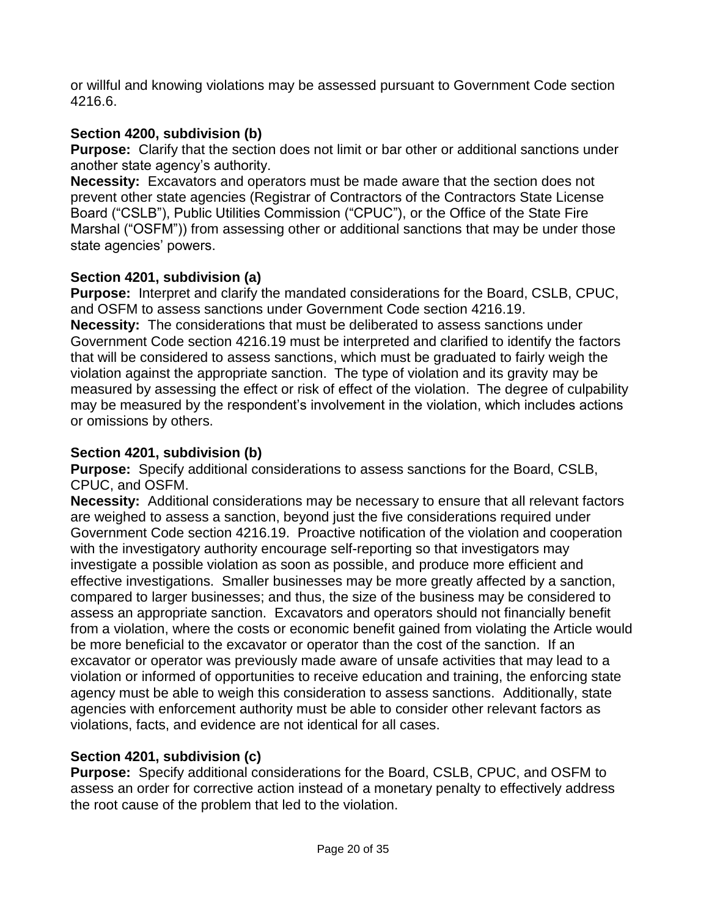or willful and knowing violations may be assessed pursuant to Government Code section 4216.6.

# **Section 4200, subdivision (b)**

**Purpose:** Clarify that the section does not limit or bar other or additional sanctions under another state agency's authority.

**Necessity:** Excavators and operators must be made aware that the section does not prevent other state agencies (Registrar of Contractors of the Contractors State License Board ("CSLB"), Public Utilities Commission ("CPUC"), or the Office of the State Fire Marshal ("OSFM")) from assessing other or additional sanctions that may be under those state agencies' powers.

# **Section 4201, subdivision (a)**

**Purpose:** Interpret and clarify the mandated considerations for the Board, CSLB, CPUC, and OSFM to assess sanctions under Government Code section 4216.19. **Necessity:** The considerations that must be deliberated to assess sanctions under Government Code section 4216.19 must be interpreted and clarified to identify the factors that will be considered to assess sanctions, which must be graduated to fairly weigh the violation against the appropriate sanction. The type of violation and its gravity may be measured by assessing the effect or risk of effect of the violation. The degree of culpability may be measured by the respondent's involvement in the violation, which includes actions or omissions by others.

# **Section 4201, subdivision (b)**

**Purpose:** Specify additional considerations to assess sanctions for the Board, CSLB, CPUC, and OSFM.

**Necessity:** Additional considerations may be necessary to ensure that all relevant factors are weighed to assess a sanction, beyond just the five considerations required under Government Code section 4216.19. Proactive notification of the violation and cooperation with the investigatory authority encourage self-reporting so that investigators may investigate a possible violation as soon as possible, and produce more efficient and effective investigations. Smaller businesses may be more greatly affected by a sanction, compared to larger businesses; and thus, the size of the business may be considered to assess an appropriate sanction. Excavators and operators should not financially benefit from a violation, where the costs or economic benefit gained from violating the Article would be more beneficial to the excavator or operator than the cost of the sanction. If an excavator or operator was previously made aware of unsafe activities that may lead to a violation or informed of opportunities to receive education and training, the enforcing state agency must be able to weigh this consideration to assess sanctions. Additionally, state agencies with enforcement authority must be able to consider other relevant factors as violations, facts, and evidence are not identical for all cases.

# **Section 4201, subdivision (c)**

**Purpose:** Specify additional considerations for the Board, CSLB, CPUC, and OSFM to assess an order for corrective action instead of a monetary penalty to effectively address the root cause of the problem that led to the violation.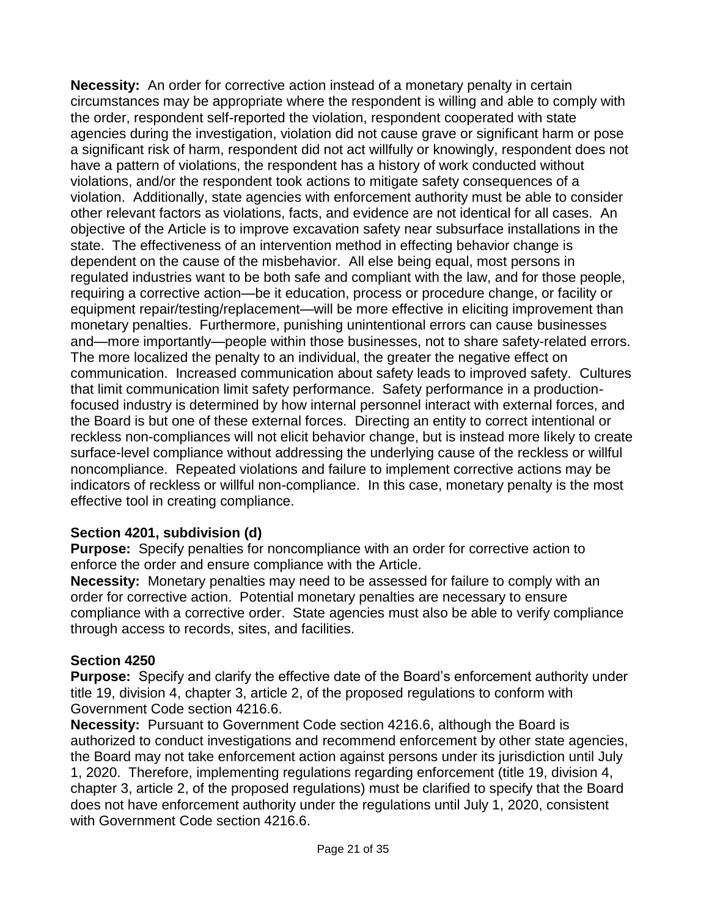**Necessity:** An order for corrective action instead of a monetary penalty in certain circumstances may be appropriate where the respondent is willing and able to comply with the order, respondent self-reported the violation, respondent cooperated with state agencies during the investigation, violation did not cause grave or significant harm or pose a significant risk of harm, respondent did not act willfully or knowingly, respondent does not have a pattern of violations, the respondent has a history of work conducted without violations, and/or the respondent took actions to mitigate safety consequences of a violation. Additionally, state agencies with enforcement authority must be able to consider other relevant factors as violations, facts, and evidence are not identical for all cases. An objective of the Article is to improve excavation safety near subsurface installations in the state. The effectiveness of an intervention method in effecting behavior change is dependent on the cause of the misbehavior. All else being equal, most persons in regulated industries want to be both safe and compliant with the law, and for those people, requiring a corrective action—be it education, process or procedure change, or facility or equipment repair/testing/replacement—will be more effective in eliciting improvement than monetary penalties. Furthermore, punishing unintentional errors can cause businesses and—more importantly—people within those businesses, not to share safety-related errors. The more localized the penalty to an individual, the greater the negative effect on communication. Increased communication about safety leads to improved safety. Cultures that limit communication limit safety performance. Safety performance in a productionfocused industry is determined by how internal personnel interact with external forces, and the Board is but one of these external forces. Directing an entity to correct intentional or reckless non-compliances will not elicit behavior change, but is instead more likely to create surface-level compliance without addressing the underlying cause of the reckless or willful noncompliance. Repeated violations and failure to implement corrective actions may be indicators of reckless or willful non-compliance. In this case, monetary penalty is the most effective tool in creating compliance.

## **Section 4201, subdivision (d)**

**Purpose:** Specify penalties for noncompliance with an order for corrective action to enforce the order and ensure compliance with the Article.

**Necessity:** Monetary penalties may need to be assessed for failure to comply with an order for corrective action. Potential monetary penalties are necessary to ensure compliance with a corrective order. State agencies must also be able to verify compliance through access to records, sites, and facilities.

## **Section 4250**

**Purpose:** Specify and clarify the effective date of the Board's enforcement authority under title 19, division 4, chapter 3, article 2, of the proposed regulations to conform with Government Code section 4216.6.

**Necessity:** Pursuant to Government Code section 4216.6, although the Board is authorized to conduct investigations and recommend enforcement by other state agencies, the Board may not take enforcement action against persons under its jurisdiction until July 1, 2020. Therefore, implementing regulations regarding enforcement (title 19, division 4, chapter 3, article 2, of the proposed regulations) must be clarified to specify that the Board does not have enforcement authority under the regulations until July 1, 2020, consistent with Government Code section 4216.6.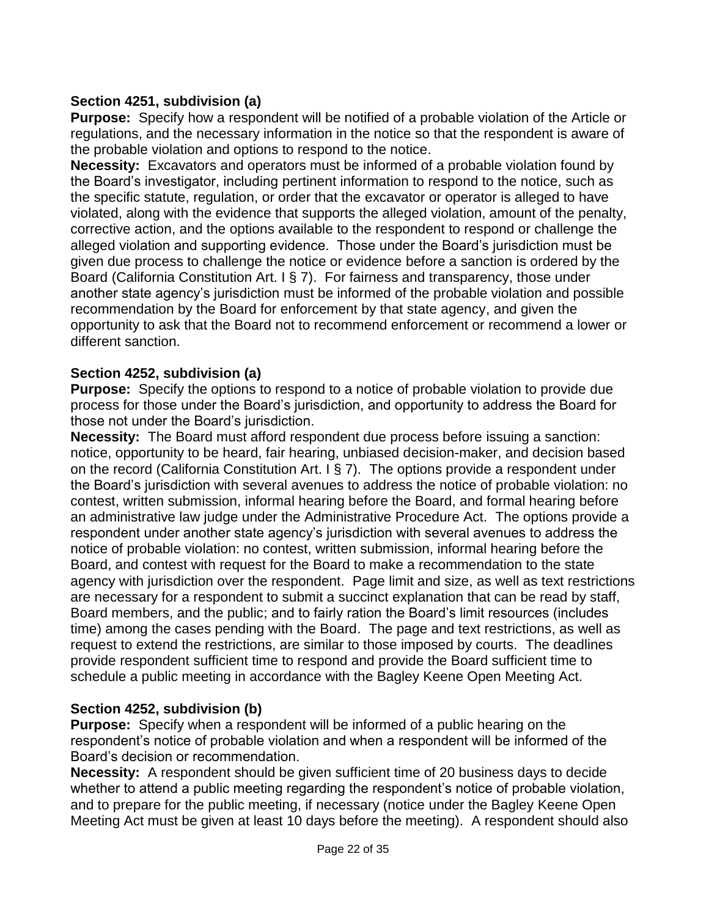## **Section 4251, subdivision (a)**

**Purpose:** Specify how a respondent will be notified of a probable violation of the Article or regulations, and the necessary information in the notice so that the respondent is aware of the probable violation and options to respond to the notice.

**Necessity:** Excavators and operators must be informed of a probable violation found by the Board's investigator, including pertinent information to respond to the notice, such as the specific statute, regulation, or order that the excavator or operator is alleged to have violated, along with the evidence that supports the alleged violation, amount of the penalty, corrective action, and the options available to the respondent to respond or challenge the alleged violation and supporting evidence. Those under the Board's jurisdiction must be given due process to challenge the notice or evidence before a sanction is ordered by the Board (California Constitution Art. I § 7). For fairness and transparency, those under another state agency's jurisdiction must be informed of the probable violation and possible recommendation by the Board for enforcement by that state agency, and given the opportunity to ask that the Board not to recommend enforcement or recommend a lower or different sanction.

# **Section 4252, subdivision (a)**

**Purpose:** Specify the options to respond to a notice of probable violation to provide due process for those under the Board's jurisdiction, and opportunity to address the Board for those not under the Board's jurisdiction.

**Necessity:** The Board must afford respondent due process before issuing a sanction: notice, opportunity to be heard, fair hearing, unbiased decision-maker, and decision based on the record (California Constitution Art. I § 7). The options provide a respondent under the Board's jurisdiction with several avenues to address the notice of probable violation: no contest, written submission, informal hearing before the Board, and formal hearing before an administrative law judge under the Administrative Procedure Act. The options provide a respondent under another state agency's jurisdiction with several avenues to address the notice of probable violation: no contest, written submission, informal hearing before the Board, and contest with request for the Board to make a recommendation to the state agency with jurisdiction over the respondent. Page limit and size, as well as text restrictions are necessary for a respondent to submit a succinct explanation that can be read by staff, Board members, and the public; and to fairly ration the Board's limit resources (includes time) among the cases pending with the Board. The page and text restrictions, as well as request to extend the restrictions, are similar to those imposed by courts. The deadlines provide respondent sufficient time to respond and provide the Board sufficient time to schedule a public meeting in accordance with the Bagley Keene Open Meeting Act.

# **Section 4252, subdivision (b)**

**Purpose:** Specify when a respondent will be informed of a public hearing on the respondent's notice of probable violation and when a respondent will be informed of the Board's decision or recommendation.

**Necessity:** A respondent should be given sufficient time of 20 business days to decide whether to attend a public meeting regarding the respondent's notice of probable violation, and to prepare for the public meeting, if necessary (notice under the Bagley Keene Open Meeting Act must be given at least 10 days before the meeting). A respondent should also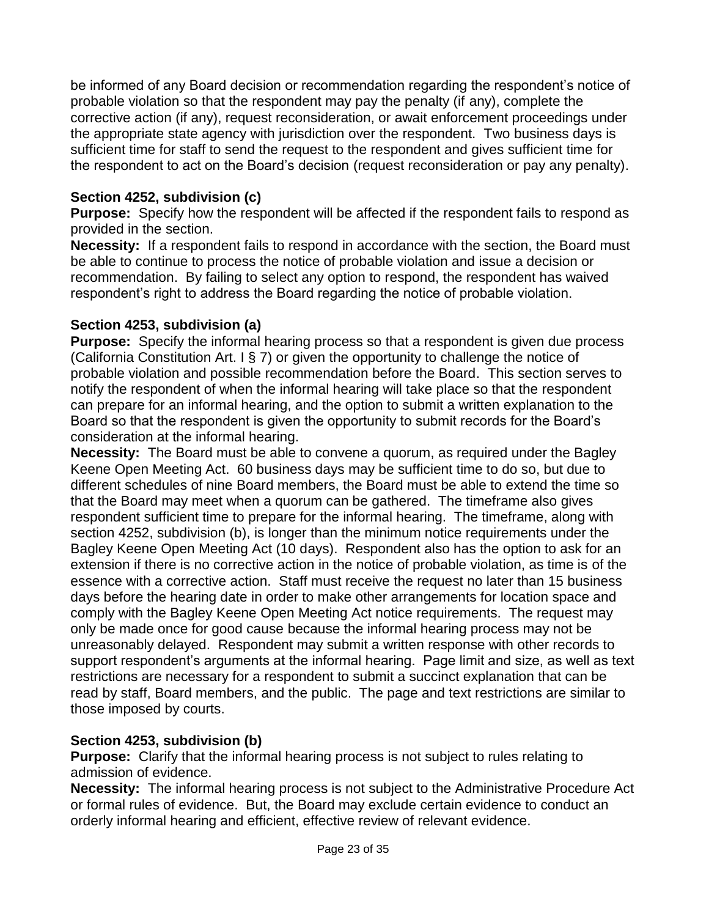be informed of any Board decision or recommendation regarding the respondent's notice of probable violation so that the respondent may pay the penalty (if any), complete the corrective action (if any), request reconsideration, or await enforcement proceedings under the appropriate state agency with jurisdiction over the respondent. Two business days is sufficient time for staff to send the request to the respondent and gives sufficient time for the respondent to act on the Board's decision (request reconsideration or pay any penalty).

## **Section 4252, subdivision (c)**

**Purpose:** Specify how the respondent will be affected if the respondent fails to respond as provided in the section.

**Necessity:** If a respondent fails to respond in accordance with the section, the Board must be able to continue to process the notice of probable violation and issue a decision or recommendation. By failing to select any option to respond, the respondent has waived respondent's right to address the Board regarding the notice of probable violation.

## **Section 4253, subdivision (a)**

**Purpose:** Specify the informal hearing process so that a respondent is given due process (California Constitution Art. I § 7) or given the opportunity to challenge the notice of probable violation and possible recommendation before the Board. This section serves to notify the respondent of when the informal hearing will take place so that the respondent can prepare for an informal hearing, and the option to submit a written explanation to the Board so that the respondent is given the opportunity to submit records for the Board's consideration at the informal hearing.

**Necessity:** The Board must be able to convene a quorum, as required under the Bagley Keene Open Meeting Act. 60 business days may be sufficient time to do so, but due to different schedules of nine Board members, the Board must be able to extend the time so that the Board may meet when a quorum can be gathered. The timeframe also gives respondent sufficient time to prepare for the informal hearing. The timeframe, along with section 4252, subdivision (b), is longer than the minimum notice requirements under the Bagley Keene Open Meeting Act (10 days). Respondent also has the option to ask for an extension if there is no corrective action in the notice of probable violation, as time is of the essence with a corrective action. Staff must receive the request no later than 15 business days before the hearing date in order to make other arrangements for location space and comply with the Bagley Keene Open Meeting Act notice requirements. The request may only be made once for good cause because the informal hearing process may not be unreasonably delayed. Respondent may submit a written response with other records to support respondent's arguments at the informal hearing. Page limit and size, as well as text restrictions are necessary for a respondent to submit a succinct explanation that can be read by staff, Board members, and the public. The page and text restrictions are similar to those imposed by courts.

# **Section 4253, subdivision (b)**

**Purpose:** Clarify that the informal hearing process is not subject to rules relating to admission of evidence.

**Necessity:** The informal hearing process is not subject to the Administrative Procedure Act or formal rules of evidence. But, the Board may exclude certain evidence to conduct an orderly informal hearing and efficient, effective review of relevant evidence.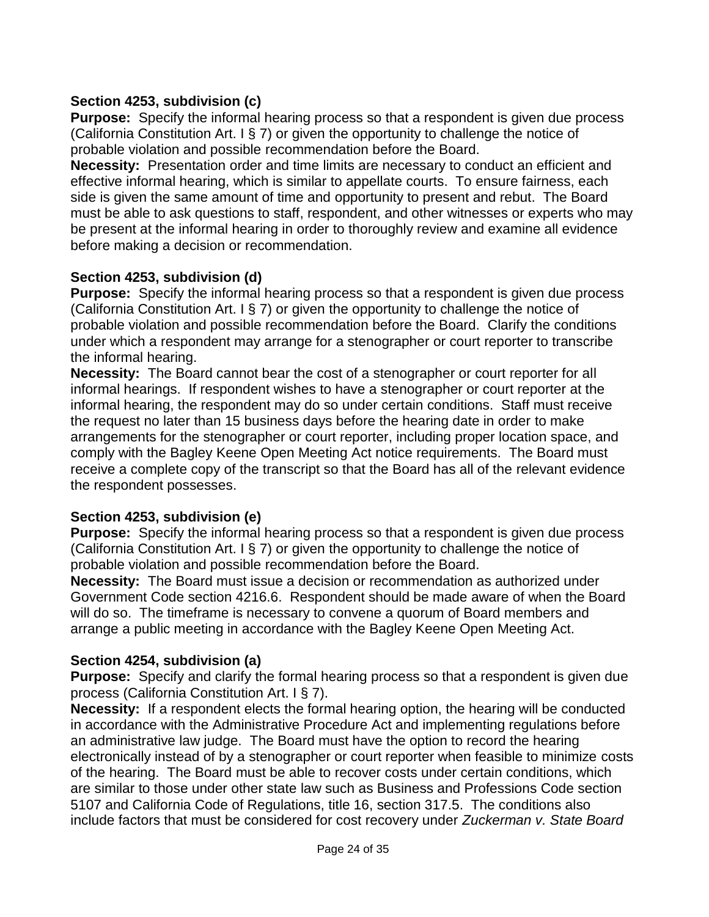## **Section 4253, subdivision (c)**

**Purpose:** Specify the informal hearing process so that a respondent is given due process (California Constitution Art. I § 7) or given the opportunity to challenge the notice of probable violation and possible recommendation before the Board.

**Necessity:** Presentation order and time limits are necessary to conduct an efficient and effective informal hearing, which is similar to appellate courts. To ensure fairness, each side is given the same amount of time and opportunity to present and rebut. The Board must be able to ask questions to staff, respondent, and other witnesses or experts who may be present at the informal hearing in order to thoroughly review and examine all evidence before making a decision or recommendation.

## **Section 4253, subdivision (d)**

**Purpose:** Specify the informal hearing process so that a respondent is given due process (California Constitution Art. I § 7) or given the opportunity to challenge the notice of probable violation and possible recommendation before the Board. Clarify the conditions under which a respondent may arrange for a stenographer or court reporter to transcribe the informal hearing.

**Necessity:** The Board cannot bear the cost of a stenographer or court reporter for all informal hearings. If respondent wishes to have a stenographer or court reporter at the informal hearing, the respondent may do so under certain conditions. Staff must receive the request no later than 15 business days before the hearing date in order to make arrangements for the stenographer or court reporter, including proper location space, and comply with the Bagley Keene Open Meeting Act notice requirements. The Board must receive a complete copy of the transcript so that the Board has all of the relevant evidence the respondent possesses.

## **Section 4253, subdivision (e)**

**Purpose:** Specify the informal hearing process so that a respondent is given due process (California Constitution Art. I § 7) or given the opportunity to challenge the notice of probable violation and possible recommendation before the Board.

**Necessity:** The Board must issue a decision or recommendation as authorized under Government Code section 4216.6. Respondent should be made aware of when the Board will do so. The timeframe is necessary to convene a quorum of Board members and arrange a public meeting in accordance with the Bagley Keene Open Meeting Act.

## **Section 4254, subdivision (a)**

**Purpose:** Specify and clarify the formal hearing process so that a respondent is given due process (California Constitution Art. I § 7).

**Necessity:** If a respondent elects the formal hearing option, the hearing will be conducted in accordance with the Administrative Procedure Act and implementing regulations before an administrative law judge. The Board must have the option to record the hearing electronically instead of by a stenographer or court reporter when feasible to minimize costs of the hearing. The Board must be able to recover costs under certain conditions, which are similar to those under other state law such as Business and Professions Code section 5107 and California Code of Regulations, title 16, section 317.5. The conditions also include factors that must be considered for cost recovery under *Zuckerman v. State Board*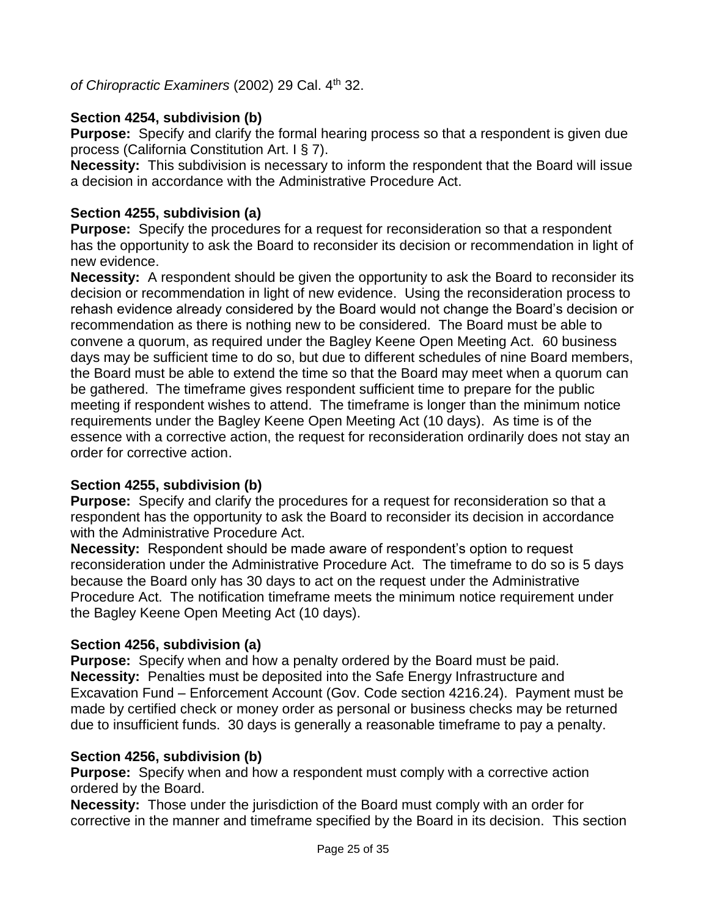of Chiropractic Examiners (2002) 29 Cal. 4<sup>th</sup> 32.

# **Section 4254, subdivision (b)**

**Purpose:** Specify and clarify the formal hearing process so that a respondent is given due process (California Constitution Art. I § 7).

**Necessity:** This subdivision is necessary to inform the respondent that the Board will issue a decision in accordance with the Administrative Procedure Act.

## **Section 4255, subdivision (a)**

**Purpose:** Specify the procedures for a request for reconsideration so that a respondent has the opportunity to ask the Board to reconsider its decision or recommendation in light of new evidence.

**Necessity:** A respondent should be given the opportunity to ask the Board to reconsider its decision or recommendation in light of new evidence. Using the reconsideration process to rehash evidence already considered by the Board would not change the Board's decision or recommendation as there is nothing new to be considered. The Board must be able to convene a quorum, as required under the Bagley Keene Open Meeting Act. 60 business days may be sufficient time to do so, but due to different schedules of nine Board members, the Board must be able to extend the time so that the Board may meet when a quorum can be gathered. The timeframe gives respondent sufficient time to prepare for the public meeting if respondent wishes to attend. The timeframe is longer than the minimum notice requirements under the Bagley Keene Open Meeting Act (10 days). As time is of the essence with a corrective action, the request for reconsideration ordinarily does not stay an order for corrective action.

## **Section 4255, subdivision (b)**

**Purpose:** Specify and clarify the procedures for a request for reconsideration so that a respondent has the opportunity to ask the Board to reconsider its decision in accordance with the Administrative Procedure Act.

**Necessity:** Respondent should be made aware of respondent's option to request reconsideration under the Administrative Procedure Act. The timeframe to do so is 5 days because the Board only has 30 days to act on the request under the Administrative Procedure Act. The notification timeframe meets the minimum notice requirement under the Bagley Keene Open Meeting Act (10 days).

# **Section 4256, subdivision (a)**

**Purpose:** Specify when and how a penalty ordered by the Board must be paid. **Necessity:** Penalties must be deposited into the Safe Energy Infrastructure and Excavation Fund – Enforcement Account (Gov. Code section 4216.24). Payment must be made by certified check or money order as personal or business checks may be returned due to insufficient funds. 30 days is generally a reasonable timeframe to pay a penalty.

## **Section 4256, subdivision (b)**

**Purpose:** Specify when and how a respondent must comply with a corrective action ordered by the Board.

**Necessity:** Those under the jurisdiction of the Board must comply with an order for corrective in the manner and timeframe specified by the Board in its decision. This section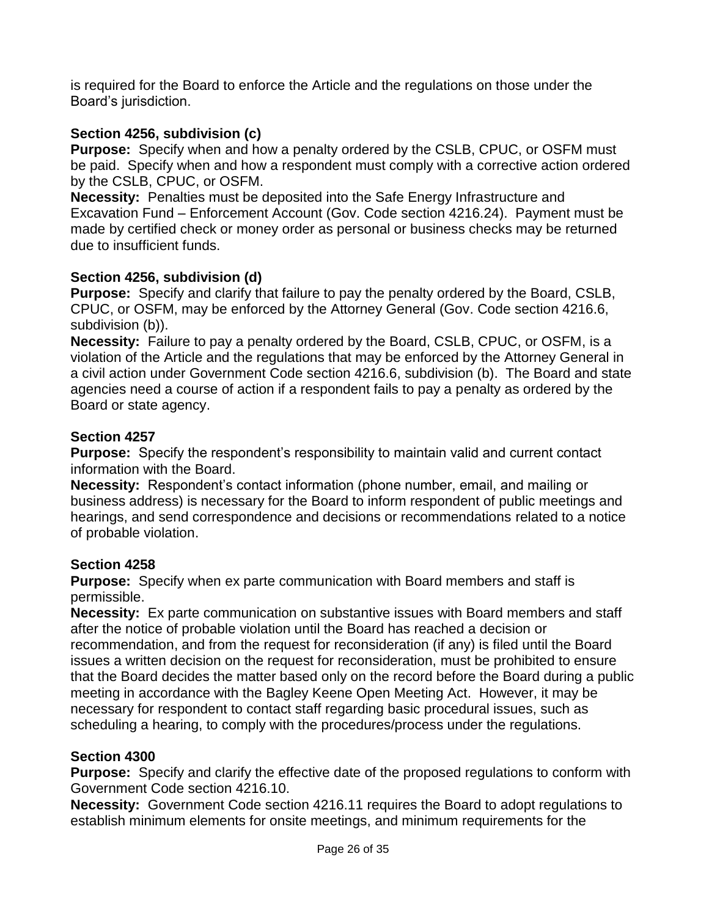is required for the Board to enforce the Article and the regulations on those under the Board's jurisdiction.

# **Section 4256, subdivision (c)**

**Purpose:** Specify when and how a penalty ordered by the CSLB, CPUC, or OSFM must be paid. Specify when and how a respondent must comply with a corrective action ordered by the CSLB, CPUC, or OSFM.

**Necessity:** Penalties must be deposited into the Safe Energy Infrastructure and Excavation Fund – Enforcement Account (Gov. Code section 4216.24). Payment must be made by certified check or money order as personal or business checks may be returned due to insufficient funds.

## **Section 4256, subdivision (d)**

**Purpose:** Specify and clarify that failure to pay the penalty ordered by the Board, CSLB, CPUC, or OSFM, may be enforced by the Attorney General (Gov. Code section 4216.6, subdivision (b)).

**Necessity:** Failure to pay a penalty ordered by the Board, CSLB, CPUC, or OSFM, is a violation of the Article and the regulations that may be enforced by the Attorney General in a civil action under Government Code section 4216.6, subdivision (b). The Board and state agencies need a course of action if a respondent fails to pay a penalty as ordered by the Board or state agency.

## **Section 4257**

**Purpose:** Specify the respondent's responsibility to maintain valid and current contact information with the Board.

**Necessity:** Respondent's contact information (phone number, email, and mailing or business address) is necessary for the Board to inform respondent of public meetings and hearings, and send correspondence and decisions or recommendations related to a notice of probable violation.

## **Section 4258**

**Purpose:** Specify when ex parte communication with Board members and staff is permissible.

**Necessity:** Ex parte communication on substantive issues with Board members and staff after the notice of probable violation until the Board has reached a decision or recommendation, and from the request for reconsideration (if any) is filed until the Board issues a written decision on the request for reconsideration, must be prohibited to ensure that the Board decides the matter based only on the record before the Board during a public meeting in accordance with the Bagley Keene Open Meeting Act. However, it may be necessary for respondent to contact staff regarding basic procedural issues, such as scheduling a hearing, to comply with the procedures/process under the regulations.

# **Section 4300**

**Purpose:** Specify and clarify the effective date of the proposed regulations to conform with Government Code section 4216.10.

**Necessity:** Government Code section 4216.11 requires the Board to adopt regulations to establish minimum elements for onsite meetings, and minimum requirements for the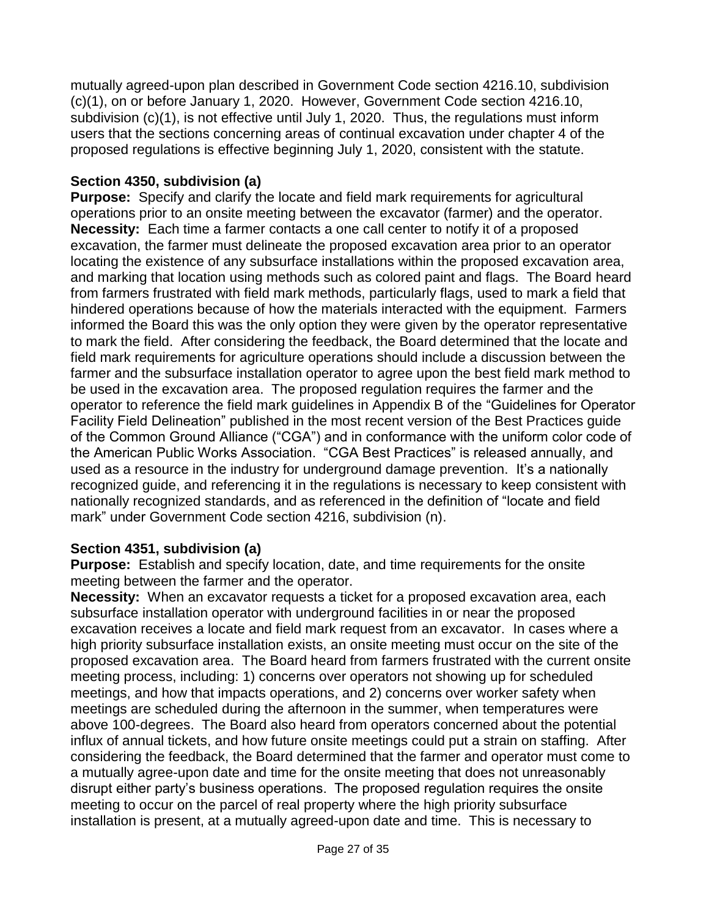mutually agreed-upon plan described in Government Code section 4216.10, subdivision (c)(1), on or before January 1, 2020. However, Government Code section 4216.10, subdivision (c)(1), is not effective until July 1, 2020. Thus, the regulations must inform users that the sections concerning areas of continual excavation under chapter 4 of the proposed regulations is effective beginning July 1, 2020, consistent with the statute.

## **Section 4350, subdivision (a)**

**Purpose:** Specify and clarify the locate and field mark requirements for agricultural operations prior to an onsite meeting between the excavator (farmer) and the operator. **Necessity:** Each time a farmer contacts a one call center to notify it of a proposed excavation, the farmer must delineate the proposed excavation area prior to an operator locating the existence of any subsurface installations within the proposed excavation area, and marking that location using methods such as colored paint and flags. The Board heard from farmers frustrated with field mark methods, particularly flags, used to mark a field that hindered operations because of how the materials interacted with the equipment. Farmers informed the Board this was the only option they were given by the operator representative to mark the field. After considering the feedback, the Board determined that the locate and field mark requirements for agriculture operations should include a discussion between the farmer and the subsurface installation operator to agree upon the best field mark method to be used in the excavation area. The proposed regulation requires the farmer and the operator to reference the field mark guidelines in Appendix B of the "Guidelines for Operator Facility Field Delineation" published in the most recent version of the Best Practices guide of the Common Ground Alliance ("CGA") and in conformance with the uniform color code of the American Public Works Association. "CGA Best Practices" is released annually, and used as a resource in the industry for underground damage prevention. It's a nationally recognized guide, and referencing it in the regulations is necessary to keep consistent with nationally recognized standards, and as referenced in the definition of "locate and field mark" under Government Code section 4216, subdivision (n).

## **Section 4351, subdivision (a)**

**Purpose:** Establish and specify location, date, and time requirements for the onsite meeting between the farmer and the operator.

**Necessity:** When an excavator requests a ticket for a proposed excavation area, each subsurface installation operator with underground facilities in or near the proposed excavation receives a locate and field mark request from an excavator. In cases where a high priority subsurface installation exists, an onsite meeting must occur on the site of the proposed excavation area. The Board heard from farmers frustrated with the current onsite meeting process, including: 1) concerns over operators not showing up for scheduled meetings, and how that impacts operations, and 2) concerns over worker safety when meetings are scheduled during the afternoon in the summer, when temperatures were above 100-degrees. The Board also heard from operators concerned about the potential influx of annual tickets, and how future onsite meetings could put a strain on staffing. After considering the feedback, the Board determined that the farmer and operator must come to a mutually agree-upon date and time for the onsite meeting that does not unreasonably disrupt either party's business operations. The proposed regulation requires the onsite meeting to occur on the parcel of real property where the high priority subsurface installation is present, at a mutually agreed-upon date and time. This is necessary to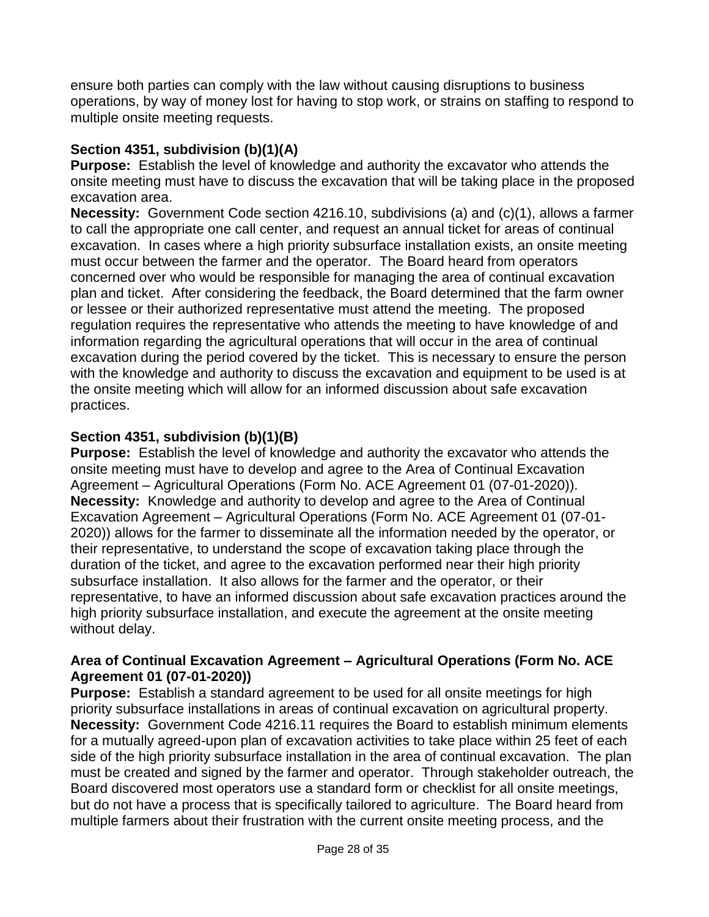ensure both parties can comply with the law without causing disruptions to business operations, by way of money lost for having to stop work, or strains on staffing to respond to multiple onsite meeting requests.

## **Section 4351, subdivision (b)(1)(A)**

**Purpose:** Establish the level of knowledge and authority the excavator who attends the onsite meeting must have to discuss the excavation that will be taking place in the proposed excavation area.

**Necessity:** Government Code section 4216.10, subdivisions (a) and (c)(1), allows a farmer to call the appropriate one call center, and request an annual ticket for areas of continual excavation. In cases where a high priority subsurface installation exists, an onsite meeting must occur between the farmer and the operator. The Board heard from operators concerned over who would be responsible for managing the area of continual excavation plan and ticket. After considering the feedback, the Board determined that the farm owner or lessee or their authorized representative must attend the meeting. The proposed regulation requires the representative who attends the meeting to have knowledge of and information regarding the agricultural operations that will occur in the area of continual excavation during the period covered by the ticket. This is necessary to ensure the person with the knowledge and authority to discuss the excavation and equipment to be used is at the onsite meeting which will allow for an informed discussion about safe excavation practices.

# **Section 4351, subdivision (b)(1)(B)**

**Purpose:** Establish the level of knowledge and authority the excavator who attends the onsite meeting must have to develop and agree to the Area of Continual Excavation Agreement – Agricultural Operations (Form No. ACE Agreement 01 (07-01-2020)). **Necessity:** Knowledge and authority to develop and agree to the Area of Continual Excavation Agreement – Agricultural Operations (Form No. ACE Agreement 01 (07-01- 2020)) allows for the farmer to disseminate all the information needed by the operator, or their representative, to understand the scope of excavation taking place through the duration of the ticket, and agree to the excavation performed near their high priority subsurface installation. It also allows for the farmer and the operator, or their representative, to have an informed discussion about safe excavation practices around the high priority subsurface installation, and execute the agreement at the onsite meeting without delay.

#### **Area of Continual Excavation Agreement – Agricultural Operations (Form No. ACE Agreement 01 (07-01-2020))**

**Purpose:** Establish a standard agreement to be used for all onsite meetings for high priority subsurface installations in areas of continual excavation on agricultural property. **Necessity:** Government Code 4216.11 requires the Board to establish minimum elements for a mutually agreed-upon plan of excavation activities to take place within 25 feet of each side of the high priority subsurface installation in the area of continual excavation. The plan must be created and signed by the farmer and operator. Through stakeholder outreach, the Board discovered most operators use a standard form or checklist for all onsite meetings, but do not have a process that is specifically tailored to agriculture. The Board heard from multiple farmers about their frustration with the current onsite meeting process, and the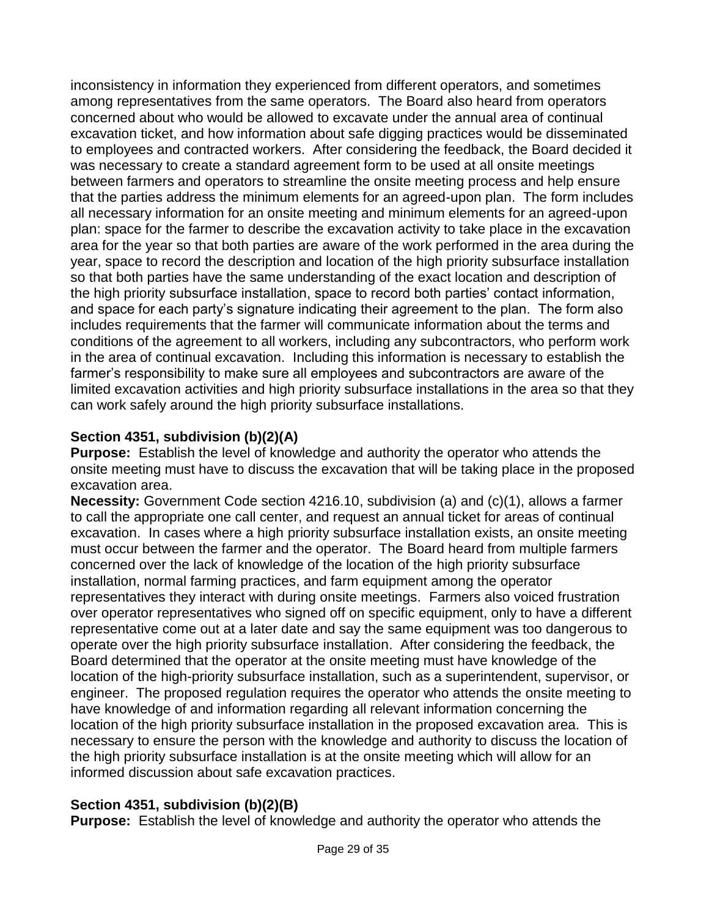inconsistency in information they experienced from different operators, and sometimes among representatives from the same operators. The Board also heard from operators concerned about who would be allowed to excavate under the annual area of continual excavation ticket, and how information about safe digging practices would be disseminated to employees and contracted workers. After considering the feedback, the Board decided it was necessary to create a standard agreement form to be used at all onsite meetings between farmers and operators to streamline the onsite meeting process and help ensure that the parties address the minimum elements for an agreed-upon plan. The form includes all necessary information for an onsite meeting and minimum elements for an agreed-upon plan: space for the farmer to describe the excavation activity to take place in the excavation area for the year so that both parties are aware of the work performed in the area during the year, space to record the description and location of the high priority subsurface installation so that both parties have the same understanding of the exact location and description of the high priority subsurface installation, space to record both parties' contact information, and space for each party's signature indicating their agreement to the plan. The form also includes requirements that the farmer will communicate information about the terms and conditions of the agreement to all workers, including any subcontractors, who perform work in the area of continual excavation. Including this information is necessary to establish the farmer's responsibility to make sure all employees and subcontractors are aware of the limited excavation activities and high priority subsurface installations in the area so that they can work safely around the high priority subsurface installations.

# **Section 4351, subdivision (b)(2)(A)**

**Purpose:** Establish the level of knowledge and authority the operator who attends the onsite meeting must have to discuss the excavation that will be taking place in the proposed excavation area.

**Necessity:** Government Code section 4216.10, subdivision (a) and (c)(1), allows a farmer to call the appropriate one call center, and request an annual ticket for areas of continual excavation. In cases where a high priority subsurface installation exists, an onsite meeting must occur between the farmer and the operator. The Board heard from multiple farmers concerned over the lack of knowledge of the location of the high priority subsurface installation, normal farming practices, and farm equipment among the operator representatives they interact with during onsite meetings. Farmers also voiced frustration over operator representatives who signed off on specific equipment, only to have a different representative come out at a later date and say the same equipment was too dangerous to operate over the high priority subsurface installation. After considering the feedback, the Board determined that the operator at the onsite meeting must have knowledge of the location of the high-priority subsurface installation, such as a superintendent, supervisor, or engineer. The proposed regulation requires the operator who attends the onsite meeting to have knowledge of and information regarding all relevant information concerning the location of the high priority subsurface installation in the proposed excavation area. This is necessary to ensure the person with the knowledge and authority to discuss the location of the high priority subsurface installation is at the onsite meeting which will allow for an informed discussion about safe excavation practices.

# **Section 4351, subdivision (b)(2)(B)**

**Purpose:** Establish the level of knowledge and authority the operator who attends the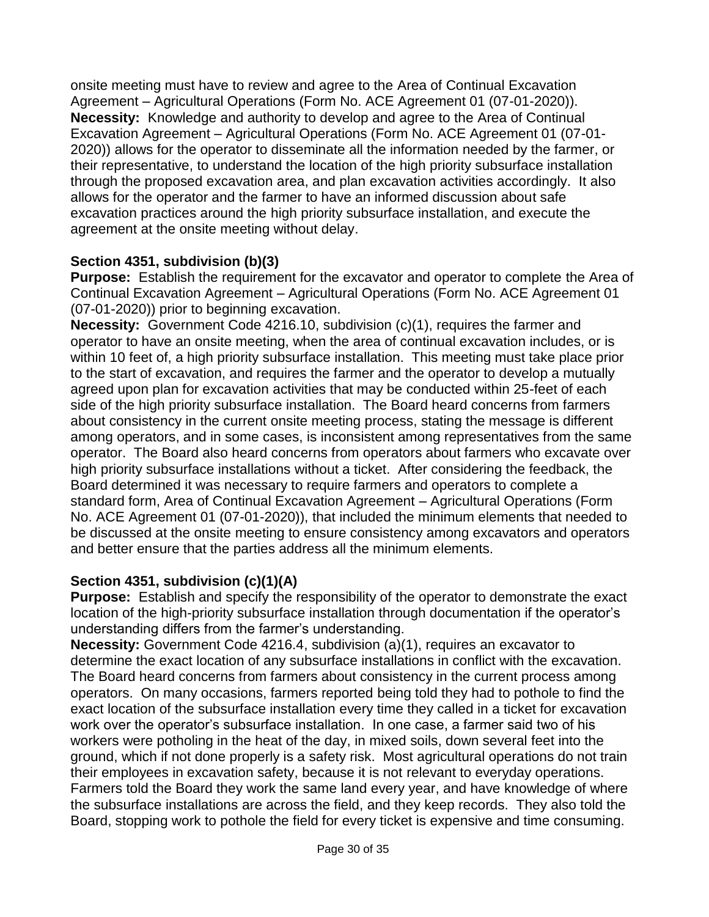onsite meeting must have to review and agree to the Area of Continual Excavation Agreement – Agricultural Operations (Form No. ACE Agreement 01 (07-01-2020)). **Necessity:** Knowledge and authority to develop and agree to the Area of Continual Excavation Agreement – Agricultural Operations (Form No. ACE Agreement 01 (07-01- 2020)) allows for the operator to disseminate all the information needed by the farmer, or their representative, to understand the location of the high priority subsurface installation through the proposed excavation area, and plan excavation activities accordingly. It also allows for the operator and the farmer to have an informed discussion about safe excavation practices around the high priority subsurface installation, and execute the agreement at the onsite meeting without delay.

## **Section 4351, subdivision (b)(3)**

**Purpose:** Establish the requirement for the excavator and operator to complete the Area of Continual Excavation Agreement – Agricultural Operations (Form No. ACE Agreement 01 (07-01-2020)) prior to beginning excavation.

**Necessity:** Government Code 4216.10, subdivision (c)(1), requires the farmer and operator to have an onsite meeting, when the area of continual excavation includes, or is within 10 feet of, a high priority subsurface installation. This meeting must take place prior to the start of excavation, and requires the farmer and the operator to develop a mutually agreed upon plan for excavation activities that may be conducted within 25-feet of each side of the high priority subsurface installation. The Board heard concerns from farmers about consistency in the current onsite meeting process, stating the message is different among operators, and in some cases, is inconsistent among representatives from the same operator. The Board also heard concerns from operators about farmers who excavate over high priority subsurface installations without a ticket. After considering the feedback, the Board determined it was necessary to require farmers and operators to complete a standard form, Area of Continual Excavation Agreement – Agricultural Operations (Form No. ACE Agreement 01 (07-01-2020)), that included the minimum elements that needed to be discussed at the onsite meeting to ensure consistency among excavators and operators and better ensure that the parties address all the minimum elements.

## **Section 4351, subdivision (c)(1)(A)**

**Purpose:** Establish and specify the responsibility of the operator to demonstrate the exact location of the high-priority subsurface installation through documentation if the operator's understanding differs from the farmer's understanding.

**Necessity:** Government Code 4216.4, subdivision (a)(1), requires an excavator to determine the exact location of any subsurface installations in conflict with the excavation. The Board heard concerns from farmers about consistency in the current process among operators. On many occasions, farmers reported being told they had to pothole to find the exact location of the subsurface installation every time they called in a ticket for excavation work over the operator's subsurface installation. In one case, a farmer said two of his workers were potholing in the heat of the day, in mixed soils, down several feet into the ground, which if not done properly is a safety risk. Most agricultural operations do not train their employees in excavation safety, because it is not relevant to everyday operations. Farmers told the Board they work the same land every year, and have knowledge of where the subsurface installations are across the field, and they keep records. They also told the Board, stopping work to pothole the field for every ticket is expensive and time consuming.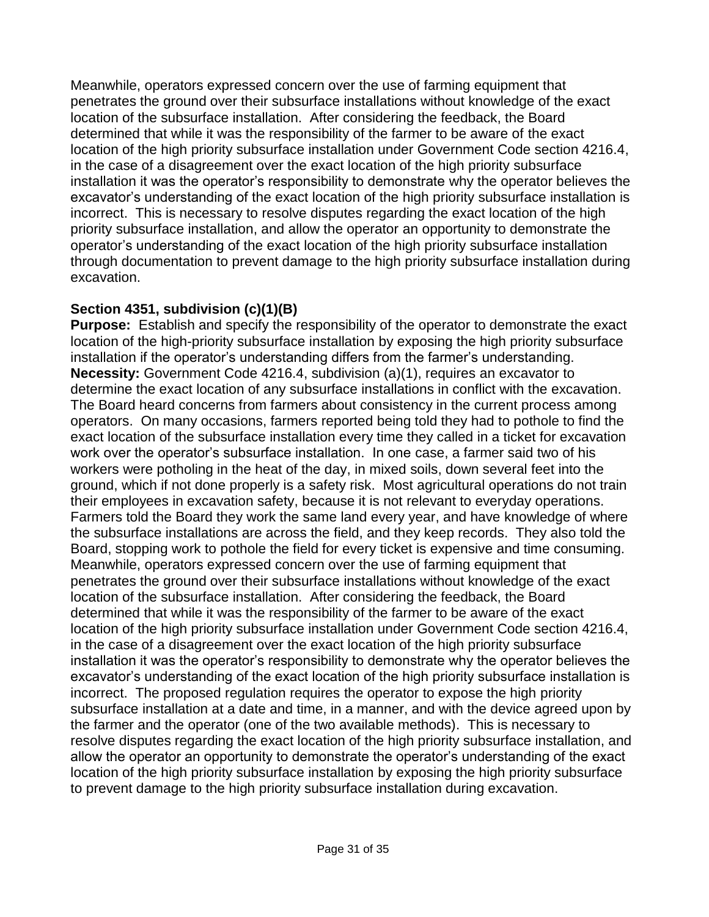Meanwhile, operators expressed concern over the use of farming equipment that penetrates the ground over their subsurface installations without knowledge of the exact location of the subsurface installation. After considering the feedback, the Board determined that while it was the responsibility of the farmer to be aware of the exact location of the high priority subsurface installation under Government Code section 4216.4, in the case of a disagreement over the exact location of the high priority subsurface installation it was the operator's responsibility to demonstrate why the operator believes the excavator's understanding of the exact location of the high priority subsurface installation is incorrect. This is necessary to resolve disputes regarding the exact location of the high priority subsurface installation, and allow the operator an opportunity to demonstrate the operator's understanding of the exact location of the high priority subsurface installation through documentation to prevent damage to the high priority subsurface installation during excavation.

## **Section 4351, subdivision (c)(1)(B)**

**Purpose:** Establish and specify the responsibility of the operator to demonstrate the exact location of the high-priority subsurface installation by exposing the high priority subsurface installation if the operator's understanding differs from the farmer's understanding. **Necessity:** Government Code 4216.4, subdivision (a)(1), requires an excavator to determine the exact location of any subsurface installations in conflict with the excavation. The Board heard concerns from farmers about consistency in the current process among operators. On many occasions, farmers reported being told they had to pothole to find the exact location of the subsurface installation every time they called in a ticket for excavation work over the operator's subsurface installation. In one case, a farmer said two of his workers were potholing in the heat of the day, in mixed soils, down several feet into the ground, which if not done properly is a safety risk. Most agricultural operations do not train their employees in excavation safety, because it is not relevant to everyday operations. Farmers told the Board they work the same land every year, and have knowledge of where the subsurface installations are across the field, and they keep records. They also told the Board, stopping work to pothole the field for every ticket is expensive and time consuming. Meanwhile, operators expressed concern over the use of farming equipment that penetrates the ground over their subsurface installations without knowledge of the exact location of the subsurface installation. After considering the feedback, the Board determined that while it was the responsibility of the farmer to be aware of the exact location of the high priority subsurface installation under Government Code section 4216.4, in the case of a disagreement over the exact location of the high priority subsurface installation it was the operator's responsibility to demonstrate why the operator believes the excavator's understanding of the exact location of the high priority subsurface installation is incorrect. The proposed regulation requires the operator to expose the high priority subsurface installation at a date and time, in a manner, and with the device agreed upon by the farmer and the operator (one of the two available methods). This is necessary to resolve disputes regarding the exact location of the high priority subsurface installation, and allow the operator an opportunity to demonstrate the operator's understanding of the exact location of the high priority subsurface installation by exposing the high priority subsurface to prevent damage to the high priority subsurface installation during excavation.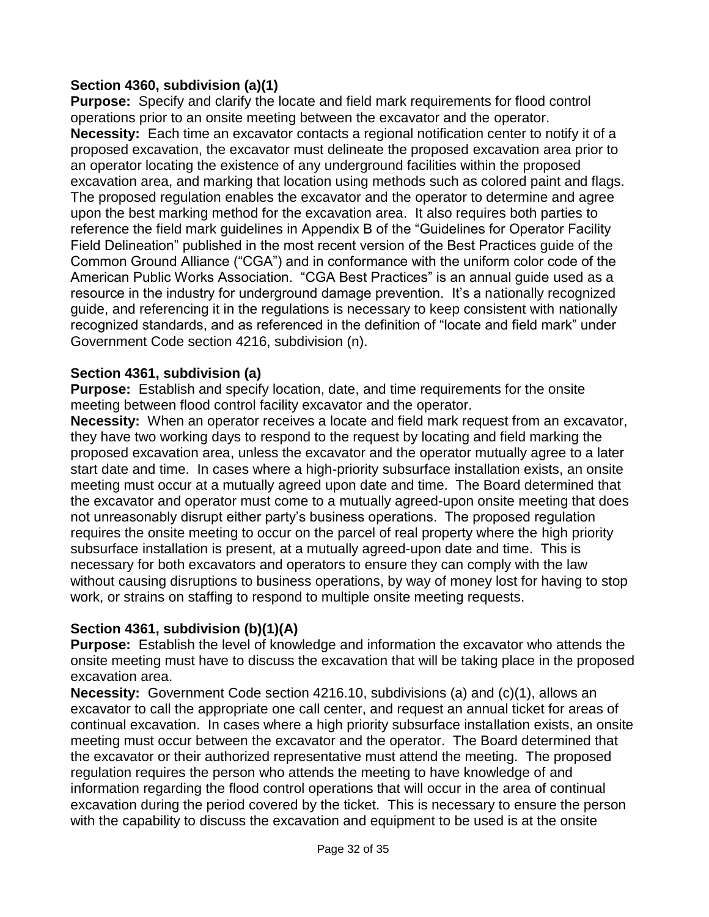## **Section 4360, subdivision (a)(1)**

**Purpose:** Specify and clarify the locate and field mark requirements for flood control operations prior to an onsite meeting between the excavator and the operator. **Necessity:** Each time an excavator contacts a regional notification center to notify it of a proposed excavation, the excavator must delineate the proposed excavation area prior to an operator locating the existence of any underground facilities within the proposed excavation area, and marking that location using methods such as colored paint and flags. The proposed regulation enables the excavator and the operator to determine and agree upon the best marking method for the excavation area. It also requires both parties to reference the field mark guidelines in Appendix B of the "Guidelines for Operator Facility Field Delineation" published in the most recent version of the Best Practices guide of the Common Ground Alliance ("CGA") and in conformance with the uniform color code of the American Public Works Association. "CGA Best Practices" is an annual guide used as a resource in the industry for underground damage prevention. It's a nationally recognized guide, and referencing it in the regulations is necessary to keep consistent with nationally recognized standards, and as referenced in the definition of "locate and field mark" under Government Code section 4216, subdivision (n).

#### **Section 4361, subdivision (a)**

**Purpose:** Establish and specify location, date, and time requirements for the onsite meeting between flood control facility excavator and the operator.

**Necessity:** When an operator receives a locate and field mark request from an excavator, they have two working days to respond to the request by locating and field marking the proposed excavation area, unless the excavator and the operator mutually agree to a later start date and time. In cases where a high-priority subsurface installation exists, an onsite meeting must occur at a mutually agreed upon date and time. The Board determined that the excavator and operator must come to a mutually agreed-upon onsite meeting that does not unreasonably disrupt either party's business operations. The proposed regulation requires the onsite meeting to occur on the parcel of real property where the high priority subsurface installation is present, at a mutually agreed-upon date and time. This is necessary for both excavators and operators to ensure they can comply with the law without causing disruptions to business operations, by way of money lost for having to stop work, or strains on staffing to respond to multiple onsite meeting requests.

## **Section 4361, subdivision (b)(1)(A)**

**Purpose:** Establish the level of knowledge and information the excavator who attends the onsite meeting must have to discuss the excavation that will be taking place in the proposed excavation area.

**Necessity:** Government Code section 4216.10, subdivisions (a) and (c)(1), allows an excavator to call the appropriate one call center, and request an annual ticket for areas of continual excavation. In cases where a high priority subsurface installation exists, an onsite meeting must occur between the excavator and the operator. The Board determined that the excavator or their authorized representative must attend the meeting. The proposed regulation requires the person who attends the meeting to have knowledge of and information regarding the flood control operations that will occur in the area of continual excavation during the period covered by the ticket. This is necessary to ensure the person with the capability to discuss the excavation and equipment to be used is at the onsite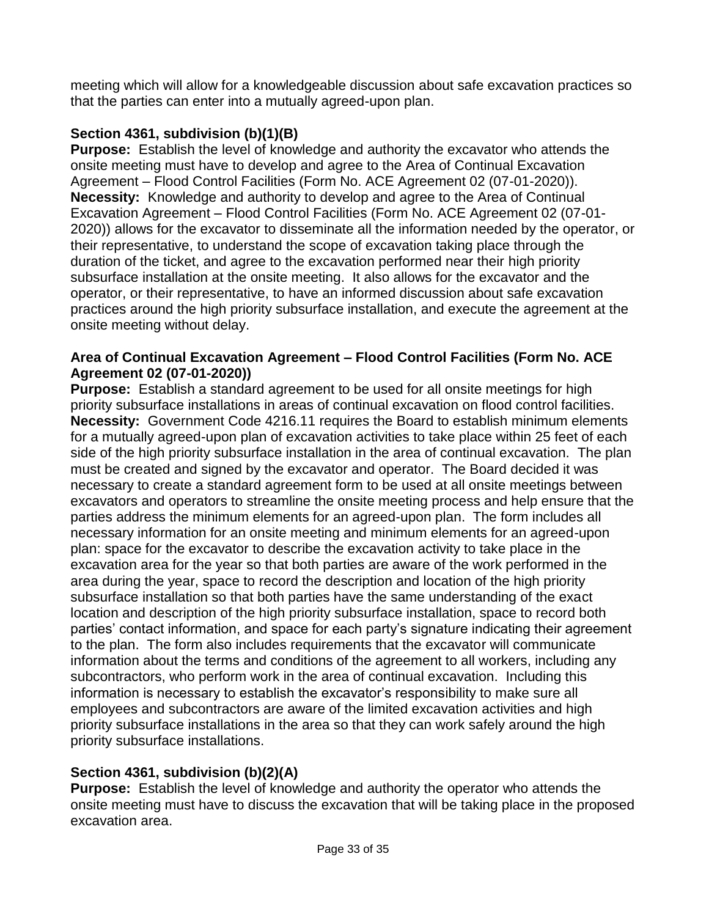meeting which will allow for a knowledgeable discussion about safe excavation practices so that the parties can enter into a mutually agreed-upon plan.

# **Section 4361, subdivision (b)(1)(B)**

**Purpose:** Establish the level of knowledge and authority the excavator who attends the onsite meeting must have to develop and agree to the Area of Continual Excavation Agreement – Flood Control Facilities (Form No. ACE Agreement 02 (07-01-2020)). **Necessity:** Knowledge and authority to develop and agree to the Area of Continual Excavation Agreement – Flood Control Facilities (Form No. ACE Agreement 02 (07-01- 2020)) allows for the excavator to disseminate all the information needed by the operator, or their representative, to understand the scope of excavation taking place through the duration of the ticket, and agree to the excavation performed near their high priority subsurface installation at the onsite meeting. It also allows for the excavator and the operator, or their representative, to have an informed discussion about safe excavation practices around the high priority subsurface installation, and execute the agreement at the onsite meeting without delay.

## **Area of Continual Excavation Agreement – Flood Control Facilities (Form No. ACE Agreement 02 (07-01-2020))**

**Purpose:** Establish a standard agreement to be used for all onsite meetings for high priority subsurface installations in areas of continual excavation on flood control facilities. **Necessity:** Government Code 4216.11 requires the Board to establish minimum elements for a mutually agreed-upon plan of excavation activities to take place within 25 feet of each side of the high priority subsurface installation in the area of continual excavation. The plan must be created and signed by the excavator and operator. The Board decided it was necessary to create a standard agreement form to be used at all onsite meetings between excavators and operators to streamline the onsite meeting process and help ensure that the parties address the minimum elements for an agreed-upon plan. The form includes all necessary information for an onsite meeting and minimum elements for an agreed-upon plan: space for the excavator to describe the excavation activity to take place in the excavation area for the year so that both parties are aware of the work performed in the area during the year, space to record the description and location of the high priority subsurface installation so that both parties have the same understanding of the exact location and description of the high priority subsurface installation, space to record both parties' contact information, and space for each party's signature indicating their agreement to the plan. The form also includes requirements that the excavator will communicate information about the terms and conditions of the agreement to all workers, including any subcontractors, who perform work in the area of continual excavation. Including this information is necessary to establish the excavator's responsibility to make sure all employees and subcontractors are aware of the limited excavation activities and high priority subsurface installations in the area so that they can work safely around the high priority subsurface installations.

# **Section 4361, subdivision (b)(2)(A)**

**Purpose:** Establish the level of knowledge and authority the operator who attends the onsite meeting must have to discuss the excavation that will be taking place in the proposed excavation area.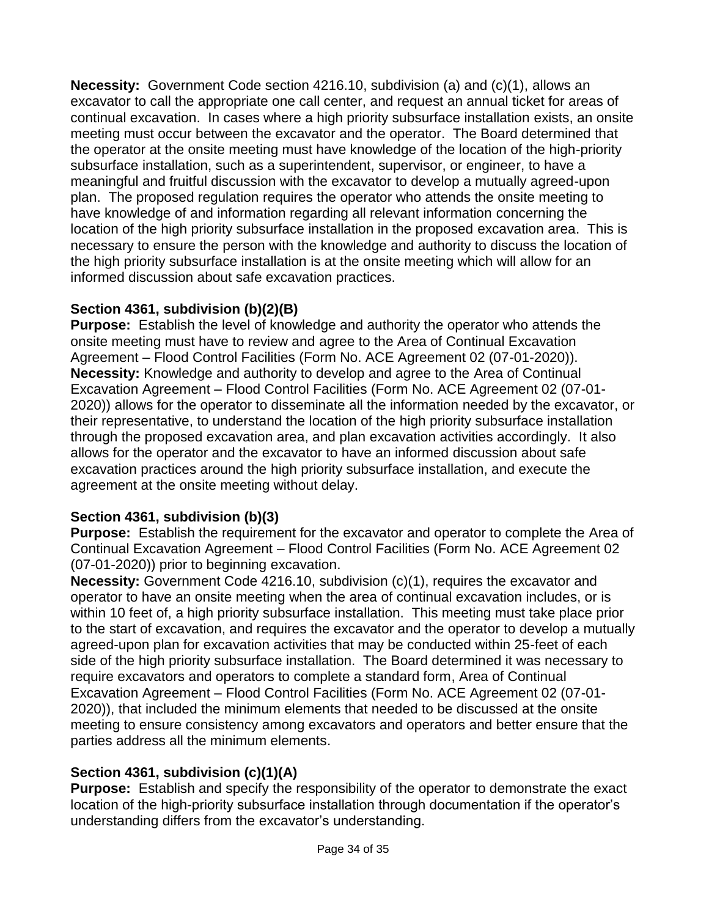**Necessity:** Government Code section 4216.10, subdivision (a) and (c)(1), allows an excavator to call the appropriate one call center, and request an annual ticket for areas of continual excavation. In cases where a high priority subsurface installation exists, an onsite meeting must occur between the excavator and the operator. The Board determined that the operator at the onsite meeting must have knowledge of the location of the high-priority subsurface installation, such as a superintendent, supervisor, or engineer, to have a meaningful and fruitful discussion with the excavator to develop a mutually agreed-upon plan. The proposed regulation requires the operator who attends the onsite meeting to have knowledge of and information regarding all relevant information concerning the location of the high priority subsurface installation in the proposed excavation area. This is necessary to ensure the person with the knowledge and authority to discuss the location of the high priority subsurface installation is at the onsite meeting which will allow for an informed discussion about safe excavation practices.

# **Section 4361, subdivision (b)(2)(B)**

**Purpose:** Establish the level of knowledge and authority the operator who attends the onsite meeting must have to review and agree to the Area of Continual Excavation Agreement – Flood Control Facilities (Form No. ACE Agreement 02 (07-01-2020)). **Necessity:** Knowledge and authority to develop and agree to the Area of Continual Excavation Agreement – Flood Control Facilities (Form No. ACE Agreement 02 (07-01- 2020)) allows for the operator to disseminate all the information needed by the excavator, or their representative, to understand the location of the high priority subsurface installation through the proposed excavation area, and plan excavation activities accordingly. It also allows for the operator and the excavator to have an informed discussion about safe excavation practices around the high priority subsurface installation, and execute the agreement at the onsite meeting without delay.

# **Section 4361, subdivision (b)(3)**

**Purpose:** Establish the requirement for the excavator and operator to complete the Area of Continual Excavation Agreement – Flood Control Facilities (Form No. ACE Agreement 02 (07-01-2020)) prior to beginning excavation.

**Necessity:** Government Code 4216.10, subdivision (c)(1), requires the excavator and operator to have an onsite meeting when the area of continual excavation includes, or is within 10 feet of, a high priority subsurface installation. This meeting must take place prior to the start of excavation, and requires the excavator and the operator to develop a mutually agreed-upon plan for excavation activities that may be conducted within 25-feet of each side of the high priority subsurface installation. The Board determined it was necessary to require excavators and operators to complete a standard form, Area of Continual Excavation Agreement – Flood Control Facilities (Form No. ACE Agreement 02 (07-01- 2020)), that included the minimum elements that needed to be discussed at the onsite meeting to ensure consistency among excavators and operators and better ensure that the parties address all the minimum elements.

# **Section 4361, subdivision (c)(1)(A)**

**Purpose:** Establish and specify the responsibility of the operator to demonstrate the exact location of the high-priority subsurface installation through documentation if the operator's understanding differs from the excavator's understanding.